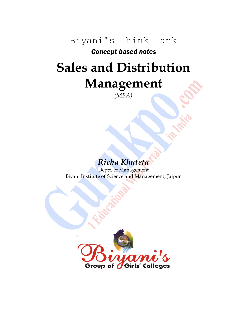Biyani's Think Tank

### *Concept based notes*

# **Sales and Distribution Management**

*(MBA)*

### *Richa Khuteta*

Deptt. of Management Biyani Institute of Science and Management, Jaipur

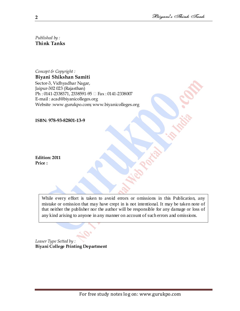#### *Published by :* **Think Tanks**

*Concept & Copyright :* **Biyani Shikshan Samiti** Sector-3, Vidhyadhar Nagar, Jaipur-302 023 (Rajasthan) Ph: 0141-2338371, 2338591-95 Pax: 0141-2338007 E-mail : acad@biyanicolleges.org Website :www.gurukpo.com; www.biyanicolleges.org

**ISBN: 978-93-82801-13-9**

**Edition: 2011 Price :**

> While every effort is taken to avoid errors or omissions in this Publication, any mistake or omission that may have crept in is not intentional. It may be taken note of that neither the publisher nor the author will be responsible for any damage or loss of any kind arising to anyone in any manner on account of such errors and omissions.

*Leaser Type Setted by :* **Biyani College Printing Department**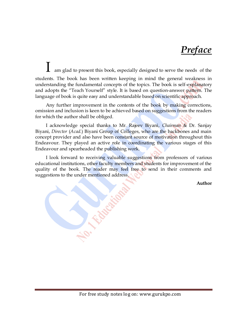# *Preface*

am glad to present this book, especially designed to serve the needs of the students. The book has been written keeping in mind the general weakness in understanding the fundamental concepts of the topics. The book is self-explanatory and adopts the "Teach Yourself" style. It is based on question-answer pattern. The language of book is quite easy and understandable based on scientific approach.

Any further improvement in the contents of the book by making corrections, omission and inclusion is keen to be achieved based on suggestions from the readers for which the author shall be obliged.

I acknowledge special thanks to Mr. Rajeev Biyani, *Chairman* & Dr. Sanjay Biyani, *Director* (*Acad.*) Biyani Group of Colleges, who are the backbones and main concept provider and also have been constant source of motivation throughout this Endeavour. They played an active role in coordinating the various stages of this Endeavour and spearheaded the publishing work.

I look forward to receiving valuable suggestions from professors of various educational institutions, other faculty members and students for improvement of the quality of the book. The reader may feel free to send in their comments and suggestions to the under mentioned address.

**Author**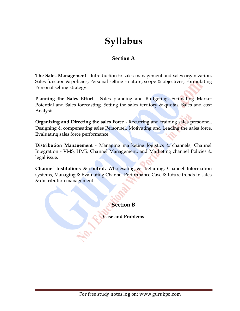# **Syllabus**

#### **Section A**

**The Sales Management** - Introduction to sales management and sales organization, Sales function & policies, Personal selling - nature, scope & objectives, Formulating Personal selling strategy.

**Planning the Sales Effort** - Sales planning and Budgeting, Estimating Market Potential and Sales forecasting, Setting the sales territory & quotas, Sales and cost Analysis.

**Organizing and Directing the sales Force** - Recurring and training sales personnel, Designing & compensating sales Personnel, Motivating and Leading the sales force, Evaluating sales force performance.

**Distribution Management** - Managing marketing logistics & channels, Channel Integration - VMS, HMS, Channel Management, and Marketing channel Policies & legal issue.

**Channel Institutions & control**, Wholesaling &- Retailing, Channel Information systems, Managing & Evaluating Channel Performance Case & future trends in sales & distribution management

**Section B** 

**Case and Problems**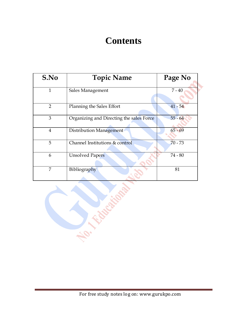# **Contents**

| S.No           | <b>Topic Name</b>                        | Page No   |
|----------------|------------------------------------------|-----------|
| $\mathbf{1}$   | Sales Management                         | $7 - 40$  |
| $\overline{2}$ | Planning the Sales Effort                | $41 - 54$ |
| 3              | Organizing and Directing the sales Force | $55 - 64$ |
| $\overline{4}$ | Distribution Management                  | $65 - 69$ |
| 5              | Channel Institutions & control           | $70 - 73$ |
| 6              | <b>Unsolved Papers</b>                   | $74 - 80$ |
| 7              | Bibliography                             | 81        |

Concrete Bay

S

For free study notes log on: www.gurukpo.com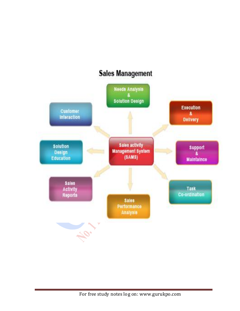### **Sales Management**

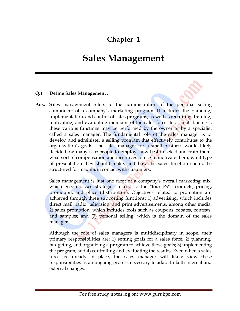### **Chapter 1**

## **Sales Management**

#### **Q.1 Define Sales Management .**

**Ans.** Sales management refers to the administration of the personal selling component of a company's marketing program. It includes the planning, implementation, and control of sales programs, as well as recruiting, training, motivating, and evaluating members of the sales force. In a small business, these various functions may be performed by the owner or by a specialist called a sales manager. The fundamental role of the sales manager is to develop and administer a selling program that effectively contributes to the organization's goals. The sales manager for a small business would likely decide how many salespeople to employ, how best to select and train them, what sort of compensation and incentives to use to motivate them, what type of presentation they should make, and how the sales function should be structured for maximum contact with customers.

Sales management is just one facet of a company's overall marketing mix, which encompasses strategies related to the "four Ps": products, pricing, promotion, and place (distribution). Objectives related to promotion are achieved through three supporting functions: 1) advertising, which includes direct mail, radio, television, and print advertisements, among other media; 2) sales promotion, which includes tools such as coupons, rebates, contests, and samples; and (3) personal selling, which is the domain of the sales manager.

Although the role of sales managers is multidisciplinary in scope, their primary responsibilities are: 1) setting goals for a sales force; 2) planning, budgeting, and organizing a program to achieve those goals; 3) implementing the program; and 4) controlling and evaluating the results. Even when a sales force is already in place, the sales manager will likely view these responsibilities as an ongoing process necessary to adapt to both internal and external changes.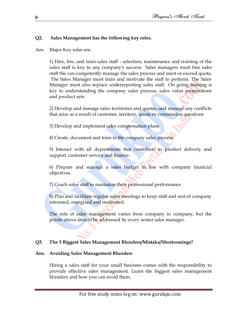#### **Q2. Sales Management has the following key roles.**

Ans. Major Key roles are:

1) Hire, fire, and train sales staff - selection, maintenance and training of the sales staff is key to any company's success. Sales managers must hire sales staff the can competently manage the sales process and meet or exceed quota. The Sales Manager must train and motivate the staff to perform. The Sales Manager must also replace underreporting sales staff. On going training is key to understanding the company sales process, sales value propositions and product sets.

2) Develop and manage sales territories and quotas, and manage any conflicts that arise as a result of customer, territory, quota or commission questions

3) Develop and implement sales compensation plans

4) Create, document and train in the company sales process

5) Interact with all departments that contribute to product delivery and support, customer service and finance.

6) Prepare and manage a sales budget in line with company financial objectives.

7) Coach sales staff to maximize their professional performance

8) Plan and facilitate regular sales meetings to keep staff and rest of company informed, energized and motivated.

The role of sales management varies from company to company, but the points above should be addressed by every senior sales manager.

#### **Q3. The 5 Biggest Sales Management Blunders/Mistake/Shortcomings?**

#### **Ans. Avoiding Sales Management Blunders**

Hiring a sales staff for your small business comes with the responsibility to provide effective sales management. Learn the biggest sales management blunders and how you can avoid them.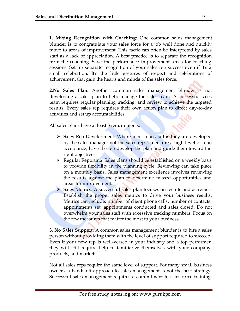**1. Mixing Recognition with Coaching:** One common sales management blunder is to congratulate your sales force for a job well done and quickly move to areas of improvement. This tactic can often be interpreted by sales staff as a lack of appreciation. A best practice is to separate the recognition from the coaching. Save the performance improvement areas for coaching sessions. Set up separate recognition of your sales rep success even if it's a small celebration. It's the little gestures of respect and celebrations of achievement that gain the hearts and minds of the sales force.

**2.No Sales Plan:** Another common sales management blunder is not developing a sales plan to help manage the sales team. A successful sales team requires regular planning tracking, and review to achieve the targeted results. Every sales rep requires their own action plan to direct day-to-day activities and set up accountabilities.

All sales plans have at least 3 requirements:

- $\triangleright$  Sales Rep Development: Where most plans fail is they are developed by the sales manager not the sales rep. To ensure a high level of plan acceptance, have the rep develop the plan and guide them toward the right objectives.
- $\triangleright$  Regular Reporting: Sales plans should be established on a weekly basis to provide flexibility in the planning cycle. Reviewing can take place on a monthly basis. Sales management excellence involves reviewing the results against the plan to determine missed opportunities and areas for improvement.
- $\triangleright$  Sales Metrics: A successful sales plan focuses on results and activities. Establish the proper sales metrics to drive your business results. Metrics can include: number of client phone calls, number of contacts, appointments set, appointments conducted and sales closed. Do not overwhelm your sales staff with excessive tracking numbers. Focus on the few measures that matter the most to your business.

**3. No Sales Support:** A common sales management blunder is to hire a sales person without providing them with the level of support required to succeed. Even if your new rep is well-versed in your industry and a top performer, they will still require help to familiarize themselves with your company, products, and markets.

Not all sales reps require the same level of support. For many small business owners, a hands-off approach to sales management is not the best strategy. Successful sales management requires a commitment to sales force training.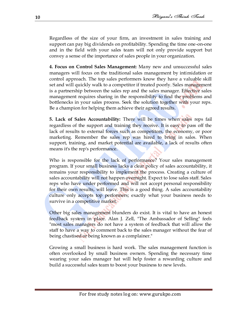Regardless of the size of your firm, an investment in sales training and support can pay big dividends on profitability. Spending the time one-on-one and in the field with your sales team will not only provide support but convey a sense of the importance of sales people in your organization.

**4. Focus on Control Sales Management:** Many new and unsuccessful sales managers will focus on the traditional sales management by intimidation or control approach. The top sales performers know they have a valuable skill set and will quickly walk to a competitor if treated poorly. Sales management is a partnership between the sales rep and the sales manager. Effective sales management requires sharing in the responsibility to find the problems and bottlenecks in your sales process. Seek the solution together with your reps. Be a champion for helping them achieve their agreed results.

**5. Lack of Sales Accountability:** There will be times when sales reps fail regardless of the support and training they receive. It is easy to pass off the lack of results to external forces such as competitors, the economy, or poor marketing. Remember the sales rep was hired to bring in sales. When support, training, and market potential are available, a lack of results often means it's the rep's performance.

Who is responsible for the lack of performance? Your sales management program. If your small business lacks a clear policy of sales accountability, it remains your responsibility to implement the process. Creating a culture of sales accountability will not happen overnight. Expect to lose sales staff. Sales reps who have under performed and will not accept personal responsibility for their own results, will leave. This is a good thing. A sales accountability culture only accepts top performers; exactly what your business needs to survive in a competitive market.

Other big sales management blunders do exist. It is vital to have an honest feedback system in place. Alan J. Zell, "The Ambassador of Selling" feels "most sales managers do not have a system of feedback that will allow the staff to have a way to comment back to the sales manager without the fear of being chastised or being known as a complainer."

Growing a small business is hard work. The sales management function is often overlooked by small business owners. Spending the necessary time wearing your sales manager hat will help foster a rewarding culture and build a successful sales team to boost your business to new levels.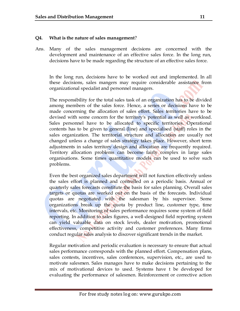#### **Q4. What is the nature of sales management**?

Ans. Many of the sales management decisions are concerned with the development and maintenance of an effective sales force. In the long run, decisions have to be made regarding the structure of an effective sales force.

In the long run, decisions have to be worked out and implemented. In all these decisions, sales mangers may require considerable assistance from organizational specialist and personnel managers.

The responsibility for the total sales task of an organization has to be divided among members of the sales force. Hence, a series or decisions have to be made concerning the allocation of sales effort. Sales territories have to be devised with some concern for the territory's potential as well as workload. Sales personnel have to be allocated to specific territories. Operational contents has to be given to general (line) and specialised (staff) roles in the sales organization. The territorial structure and allocation are usually not changed unless a change of sales strategy takes place. However, short term adjustments in sales territory design and allocation are frequently required. Territory allocation problems can become fairly complex in large sales organisations. Some times quantitative models can be used to solve such problems.

Even the best organized sales department will not function effectively unless the sales effort is planned and controlled on a periodic basis. Annual or quarterly sales forecasts constitute the basis for sales planning. Overall sales targets or quotas are worked out on the basis of the forecasts. Individual quotas are negotiated with the salesman by his supervisor. Some organizations break up the quota by product line, customer type, time intervals, etc. Monitoring of sales performance requires some system of field reporting. In addition to sales figures, a well-designed field reporting system can yield valuable data on stock levels, dealer motivation, promotional effectiveness, competitive activity and customer preferences. Many firms conduct regular sales analysis to discover significant trends in the market.

Regular motivation and periodic evaluation is necessary to ensure that actual sales performance corresponds with the planned effort. Compensation plans, sales contests, incentives, sales conferences, supervision, etc., are used to motivate salesmen. Sales manages have to make decisions pertaining to the mix of motivational devices to used. Systems have t be developed for evaluating the performance of salesmen. Reinforcement or corrective action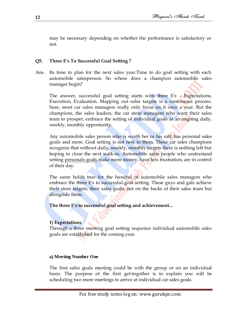may be necessary depending on whether the performance is satisfactory or not.

#### **Q5. Three E's To Successful Goal Setting ?**

Ans. Its time to plan for the next sales year.Time to do goal setting with each automobile salesperson. So where does a champion automobile sales manager begin?

The answer, successful goal setting starts with three E's - Expectations, Execution, Evaluation. Mapping out sales targets is a continuous process. Sure, most car sales managers really only focus on it once a year. But the champions, the sales leaders, the car store managers who want their sales team to prosper, embrace the setting of individual goals as an ongoing daily, weekly, monthly opportunity.

Any automobile sales person who is worth her or his salt, has personal sales goals and more. Goal setting is not new to them. These car sales champions recognize that without daily, weekly, monthly targets there is nothing left but hoping to close the next walk-in. Automobile sales people who understand setting [personals goals](http://www.selling-process-tips.com/personal-goals.html) make more money, have less frustration, are in control of their day.

The same holds true for the handful of automobile sales managers who embrace the three E's to successful goal setting. These guys and gals achieve their store targets, their sales goals, not on the backs of their sales team but alongside them.

**The three E's to successful goal setting and achievement...**

#### **1) Expectations**

Through a three meeting goal setting sequence individual automobile sales goals are established for the coming year.

#### **a) Meeting Number One**

The first sales goals meeting could be with the group or on an individual basis. The purpose of the first get-together is to explain you will be scheduling two more meetings to arrive at individual car sales goals.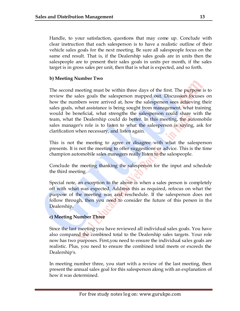Handle, to your satisfaction, questions that may come up. Conclude with clear instruction that each salesperson is to have a realistic outline of their vehicle sales goals for the next meeting. Be sure all salespeople focus on the same end result. That is, if the Dealership sales goals are in units then the salespeople are to present their sales goals in units per month, if the sales target is in gross sales per unit, then that is what is expected, and so forth.

#### **b) Meeting Number Two**

The second meeting must be within three days of the first. The purpose is to review the sales goals the salesperson mapped out. Discussion focuses on how the numbers were arrived at, how the salesperson sees achieving their sales goals, what assistance is being sought from management, what training would be beneficial, what strengths the salesperson could share with the team, what the Dealership could do better. In this meeting, the automobile sales manager's role is to listen to what the salesperson is saying, ask for clarification when necessary, and listen again.

This is not the meeting to agree or disagree with what the salesperson presents. It is not the meeting to offer suggestions or advice. This is the time champion automobile sales managers really listen to the salespeople.

Conclude the meeting thanking the salesperson for the input and schedule the third meeting.

Special note, an exception to the above is when a sales person is completely off with what was expected. Address this as required, refocus on what the purpose of the meeting was and reschedule. If the salesperson does not follow through, then you need to consider the future of this person in the Dealership.

#### **c) Meeting Number Three**

Since the last meeting you have reviewed all individual sales goals. You have also compared the combined total to the Dealership sales targets. Your role now has two purposes. First,you need to ensure the individual sales goals are realistic. Plus, you need to ensure the combined total meets or exceeds the Dealership's.

In meeting number three, you start with a review of the last meeting, then present the annual sales goal for this salesperson along with an explanation of how it was determined.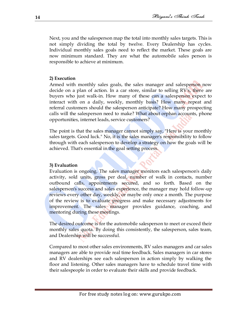Next, you and the salesperson map the total into monthly sales targets. This is not simply dividing the total by twelve. Every Dealership has cycles. Individual monthly sales goals need to reflect the market. These goals are now minimum standard. They are what the automobile sales person is responsible to achieve at minimum.

#### **2) Execution**

Armed with monthly sales goals, the sales manager and salesperson now decide on a plan of action. In a car store, similar to selling RV's, there are buyers who just walk-in. How many of these can a salesperson expect to interact with on a daily, weekly, monthly basis? How many repeat and referral customers should the salesperson anticipate? How many prospecting calls will the salesperson need to make? What about orphan accounts, phone opportunities, internet leads, service customers?

The point is that the sales manager cannot simply say, "Here is your monthly sales targets. Good luck." No, it is the sales manager's responsibility to follow through with each salesperson to develop a strategy on how the goals will be achieved. That's essential in the goal setting process.

#### **3) Evaluation**

Evaluation is ongoing. The sales manager monitors each salesperson's daily activity, sold units, gross per deal, number of walk in contacts, number outbound calls, appointments secured, and so forth. Based on the salesperson's success and sales experience, the manager may hold follow-up reviews every other day, weekly, or maybe only once a month. The purpose of the review is to evaluate progress and make necessary adjustments for improvement. The sales manager provides guidance, coaching, and mentoring during these meetings.

The desired outcome is for the automobile salesperson to meet or exceed their monthly sales quota. By doing this consistently, the salesperson, sales team, and Dealership will be successful.

Compared to most other sales environments, RV sales managers and car sales managers are able to provide real time feedback. Sales managers in car stores and RV dealerships see each salesperson in action simply by walking the floor and listening. Other sales managers have to schedule travel time with their salespeople in order to evaluate their skills and provide feedback.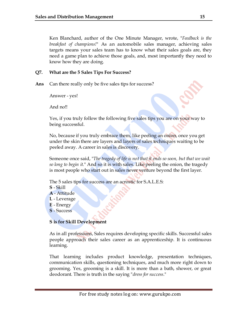Ken Blanchard, author of the One Minute Manager, wrote, "*Feedback is the breakfast of champions!*" As an automobile sales manager, achieving sales targets means your sales team has to know what their sales goals are, they need a game plan to achieve those goals, and, most importantly they need to know how they are doing.

#### **Q7. What are the 5 Sales Tips For Success?**

**Ans** Can there really only be five sales tips for success?

Answer - yes!

And no!!

Yes, if you truly follow the following five sales tips you are on your way to being successful.

No, because if you truly embrace them, like peeling an onion, once you get under the skin there are layers and layers of sales techniques waiting to be peeled away. A career in sales is discovery.

Someone once said, "*The tragedy of life is not that it ends so soon, but that we wait so long to begin it.*" And so it is with sales. Like peeling the onion, the tragedy is most people who start out in sales never venture beyond the first layer.

The 5 sales tips for success are an acrostic for S.A.L.E.S:

**S** - Skill

- **A** Attitude
- **L** Leverage
- **E** Energy
- **S** Success

#### **S is for Skill Development**

As in all professions, Sales requires developing specific skills. Successful sales people approach their sales career as an apprenticeship. It is continuous learning.

That learning includes product knowledge, presentation techniques, communication skills, questioning techniques, and much more right down to grooming. Yes, grooming is a skill. It is more than a bath, shower, or great deodorant. There is truth in the saying "*dress for success*."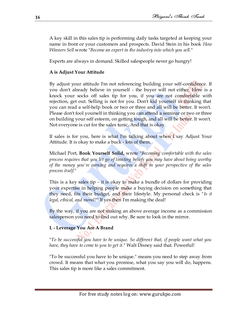A key skill in this sales tip is performing daily tasks targeted at keeping your name in front or your customers and prospects. David Stein in his book *How Winners Sell* wrote "*Become an expert in the industry into which you sell.*"

Experts are always in demand. Skilled salespeople never go hungry!

#### **A is Adjust Your Attitude**

By adjust your attitude I'm not referencing building your self-confidence. If you don't already believe in yourself - the buyer will not either. Here is a knock your socks off sales tip for you, if you are not comfortable with rejection, get out. Selling is not for you. Don't kid yourself in thinking that you can read a self-help book or two or three and all will be better. It won't. Please don't fool yourself in thinking you can attend a seminar or two or three on building your self esteem, on getting tough, and all will be better. It won't. Not everyone is cut for the sales tunic. And that is okay.

If sales is for you, here is what I'm talking about when I say Adjust Your Attitude. It is okay to make a buck - lots of them.

Michael Port, **[Book Yourself Solid,](http://gan.doubleclick.net/gan_click?lid=41000000034512655&pubid=21000000000315675)** wrote "*Becoming comfortable with the sales process requires that you let go of limiting beliefs you may have about being worthy of the money you're earning and requires a shift in your perspective of the sales process itself.*"

This is a key sales tip - it is okay to make a bundle of dollars for providing your expertise in helping people make a buying decision on something that they need, fits their budget, and their lifestyle. My personal check is "*Is it legal, ethical, and moral?*" If yes then I'm making the deal!

By the way, if you are not making an above average income as a commission salesperson you need to find out why. Be sure to look in the mirror.

#### **L - Leverage You Are A Brand**

"*To be successful you have to be unique. So different that, if people want what you have, they have to come to you to get it.*" Walt Disney said that. Powerful!

"To be successful you have to be unique." means you need to step away from crowd. It means that what you promise, what you say you will do, happens. This sales tip is more like a sales commitment.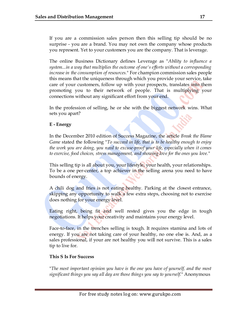If you are a commission sales person then this selling tip should be no surprise - you are a brand. You may not own the company whose products you represent. Yet to your customers you are the company. That is leverage.

The online Business Dictionary defines Leverage as "*Ability to influence a system...in a way that multiplies the outcome of one's efforts without a corresponding increase in the consumption of resources.*" For champion commission sales people this means that the uniqueness through which you provide your service, take care of your customers, follow up with your prospects, translates into them promoting you to their network of people. That is multiplying your connections without any significant effort from your end.

In the profession of selling, he or she with the biggest network wins. What sets you apart?

#### **E - Energy**

In the December 2010 edition of Success Magazine, the article *Break the Blame Game* stated the following "*To succeed in life, that is to be healthy enough to enjoy the work you are doing, you need to excuse-proof your life, especially when it comes to exercise, food choices, stress management, and showing love for the ones you love.*"

This selling tip is all about you, your lifestyle, your health, your relationships. To be a one per-center, a top achiever in the selling arena you need to have bounds of energy.

A chili dog and fries is not eating healthy. Parking at the closest entrance, skipping any opportunity to walk a few extra steps, choosing not to exercise does nothing for your energy level.

Eating right, being fit and well rested gives you the edge in tough negotiations. It helps your creativity and maintains your energy level.

Face-to-face, in the trenches selling is tough. It requires stamina and lots of energy. If you are not taking care of your healthy, no one else is. And, as a sales professional, if your are not healthy you will not survive. This is a sales tip to live for.

#### **This S Is For Success**

"*The most important opinion you have is the one you have of yourself, and the most significant things you say all day are those things you say to yourself.*" Anonymous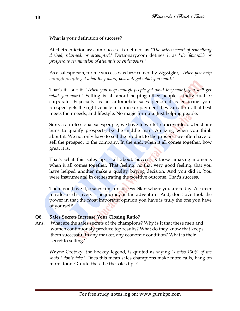What is your definition of success?

At thefreedictionary.com success is defined as "*The achievement of something desired, planned, or attempted.*" Dictionary.com defines it as "*the favorable or prosperous termination of attempts or endeavours.*"

As a salesperson, for me success was best coined b[y ZigZiglar,](http://gan.doubleclick.net/gan_click?lid=41000000034512672&pubid=21000000000315675) "*When you help enough people get what they want, you will get what you want.*"

That's it, isn't it. "*When you help enough people get what they want, you will get what you want.*" Selling is all about helping other people - individual or corporate. Especially as an automobile sales person it is ensuring your prospect gets the right vehicle in a price or payment they can afford, that best meets their needs, and lifestyle. No magic formula. Just helping people.

Sure, as professional salespeople, we have to work to uncover leads, bust our buns to qualify prospects, be the middle man. Amazing when you think about it. We not only have to sell the product to the prospect we often have to sell the prospect to the company. In the end, when it all comes together, how great it is.

That's what this sales tip is all about. Success is those amazing moments when it all comes together. That feeling, no that very good feeling, that you have helped another make a quality buying decision. And you did it. You were instrumental in orchestrating the positive outcome. That's success.

There you have it, 5 sales tips for success. Start where you are today. A career in sales is discovery. The journey is the adventure. And, don't overlook the power in that the most important opinion you have is truly the one you have of yourself!

#### **Q8. Sales Secrets Increase Your Closing Ratio?**

Ans. What are the sales secrets of the champions? Why is it that these men and women continuously produce top results? What do they know that keeps them successful in any market, any economic condition? What is their secret to selling?

Wayne Gretzky, the hockey legend, is quoted as saying "*I miss 100% of the shots I don't take.*" Does this mean sales champions make more calls, bang on more doors? Could these be the sales tips?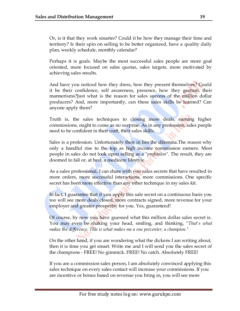Or, is it that they work smarter? Could it be how they manage their time and territory? Is their spin on selling to be better organized, have a quality daily plan, weekly schedule, monthly calendar?

Perhaps it is goals. Maybe the most successful sales people are more goal oriented, more focused on sales quotas, sales targets, more motivated by achieving sales results.

And have you noticed how they dress, how they present themselves? Could it be their confidence, self awareness, presence, how they gesture, their mannerisms?Just what is the reason for sales success of the million dollar producers? And, more importantly, can these sales skills be learned? Can anyone apply them?

Truth is, the sales techniques to closing more deals, earning higher commissions, ought to come as no surprise. As in any profession, sales people need to be confident in their craft, their sales skills.

Sales is a profession. Unfortunately their in lies the dilemma.The reason why only a handful rise to the top as high income commission earners. Most people in sales do not look upon selling as a "*profession*". The result, they are doomed to fail or, at best, a mediocre lifestyle.

As a sales professional, I can share with you sales secrets that have resulted in more orders, more successful interactions, more commissions. One specific secret has been more effective than any other technique in my sales kit.

In fact, I guarantee that if you apply this sale secret on a continuous basis you too will see more deals closed, more contracts signed, more revenue for your employer and greater prosperity for you. Yes, guaranteed!

Of course, by now you have guessed what this million dollar sales secret is. You may even be shaking your head, smiling, and thinking, "*That's what makes the difference. This is what makes me a one percenter, a champion.*"

On the other hand, if you are wondering what the dickens I am writing about, then it is time you get smart. Write me and I will send you the sales secret of the champions - FREE! No gimmick. FREE! No catch. Absolutely FREE!

If you are a commission sales person, I am absolutely convinced applying this sales technique on every sales contact will increase your commissions. If you are incentive or bonus based on revenue you bring in, you will see more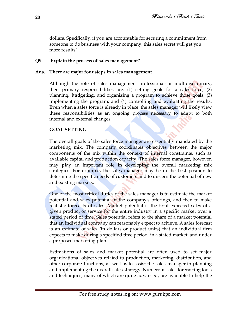dollars. Specifically, if you are accountable for securing a commitment from someone to do business with your company, this sales secret will get you more results!

#### **Q9. Explain the process of sales management?**

#### **Ans. There are major four steps in sales management**

Although the role of sales management professionals is multidisciplinary, their primary responsibilities are: (1) setting goals for a sales-force; (2) planning, **budgeting,** and organizing a program to achieve those goals; (3) implementing the program; and (4) controlling and evaluating the results. Even when a sales force is already in place, the sales manager will likely view these responsibilities as an ongoing process necessary to adapt to both internal and external changes.

#### **GOAL SETTING**

The overall goals of the sales force manager are essentially mandated by the marketing mix. The company coordinates objectives between the major components of the mix within the context of internal constraints, such as available capital and production capacity. The sales force manager, however, may play an important role in developing the overall marketing mix strategies. For example, the sales manager may be in the best position to determine the specific needs of customers and to discern the potential of new and existing markets.

One of the most critical duties of the sales manager is to estimate the market potential and sales potential of the company's offerings, and then to make realistic forecasts of sales. Market potential is the total expected sales of a given product or service for the entire industry in a specific market over a stated period of time. Sales potential refers to the share of a market potential that an individual company can reasonably expect to achieve. A sales forecast is an estimate of sales (in dollars or product units) that an individual firm expects to make during a specified time period, in a stated market, and under a proposed marketing plan.

Estimations of sales and market potential are often used to set major organizational objectives related to production, marketing, distribution, and other corporate functions, as well as to assist the sales manager in planning and implementing the overall sales strategy. Numerous sales forecasting tools and techniques, many of which are quite advanced, are available to help the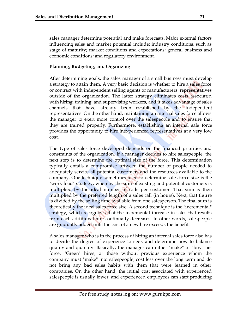sales manager determine potential and make forecasts. Major external factors influencing sales and market potential include: industry conditions, such as stage of maturity; market conditions and expectations; general business and economic conditions; and regulatory environment.

#### **Planning, Budgeting, and Organizing**

After determining goals, the sales manager of a small business must develop a strategy to attain them. A very basic decision is whether to hire a sales force or contract with independent selling agents or manufacturers' representatives outside of the organization. The latter strategy eliminates costs associated with hiring, training, and supervising workers, and it takes advantage of sales channels that have already been established by the independent representatives. On the other hand, maintaining an internal sales force allows the manager to exert more control over the salespeople and to ensure that they are trained properly. Furthermore, establishing an internal sale force provides the opportunity to hire inexperienced representatives at a very low cost.

The type of sales force developed depends on the financial priorities and constraints of the organization. If a manager decides to hire salespeople, the next step is to determine the optimal size of the force. This determination typically entails a compromise between the number of people needed to adequately service all potential customers and the resources available to the company. One technique sometimes used to determine sales force size is the "work load" strategy, whereby the sum of existing and potential customers is multiplied by the ideal number of calls per customer. That sum is then multiplied by the preferred length of a sales call (in hours). Next, that figure is divided by the selling time available from one salesperson. The final sum is theoretically the ideal sales force size. A second technique is the "incremental" strategy, which recognizes that the incremental increase in sales that results from each additional hire continually decreases. In other words, salespeople are gradually added until the cost of a new hire exceeds the benefit.

A sales manager who is in the process of hiring an internal sales force also has to decide the degree of experience to seek and determine how to balance quality and quantity. Basically, the manager can either "make" or "buy" his force. "Green" hires, or those without previous experience whom the company must "make" into salespeople, cost less over the long term and do not bring any bad sales habits with them that were learned in other companies. On the other hand, the initial cost associated with experienced salespeople is usually lower, and experienced employees can start producing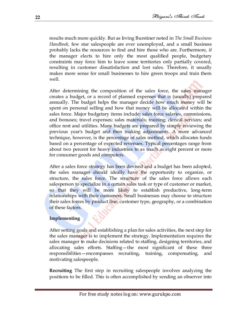results much more quickly. But as Irving Burstiner noted in *The Small Business Handbook,* few star salespeople are ever unemployed, and a small business probably lacks the resources to find and hire those who are. Furthermore, if the manager elects to hire only the most qualified people, budgetary constraints may force him to leave some territories only partially covered, resulting in customer dissatisfaction and lost sales. Therefore, it usually makes more sense for small businesses to hire green troops and train them well.

After determining the composition of the sales force, the sales manager creates a budget, or a record of planned expenses that is (usually) prepared annually. The budget helps the manager decide how much money will be spent on personal selling and how that money will be allocated within the sales force. Major budgetary items include: sales force salaries, commissions, and bonuses; travel expenses; sales materials; training; clerical services; and office rent and utilities. Many budgets are prepared by simply reviewing the previous year's budget and then making adjustments. A more advanced technique, however, is the percentage of sales method, which allocates funds based on a percentage of expected revenues. Typical percentages range from about two percent for heavy industries to as much as eight percent or more for consumer goods and computers.

After a sales force strategy has been devised and a budget has been adopted, the sales manager should ideally have the opportunity to organize, or structure, the sales force. The structure of the sales force allows each salesperson to specialize in a certain sales task or type of customer or market, so that they will be more likely to establish productive, long-term relationships with their customers. Small businesses may choose to structure their sales forces by product line, customer type, geography, or a combination of these factors.

#### **Implementing**

After setting goals and establishing a plan for sales activities, the next step for the sales manager is to implement the strategy. Implementation requires the sales manager to make decisions related to staffing, designing territories, and allocating sales efforts. Staffing—the most significant of these three responsibilities—encompasses recruiting, training, compensating, and motivating salespeople.

**Recruiting** The first step in recruiting salespeople involves analyzing the positions to be filled. This is often accomplished by sending an observer into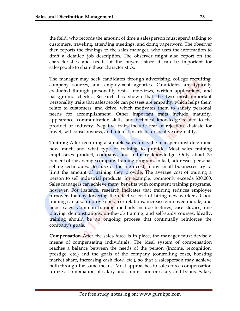the field, who records the amount of time a salesperson must spend talking to customers, traveling, attending meetings, and doing paperwork. The observer then reports the findings to the sales manager, who uses the information to draft a detailed job description. The observer might also report on the characteristics and needs of the buyers, since it can be important for salespeople to share these characteristics.

The manager may seek candidates through advertising, college recruiting, company sources, and employment agencies. Candidates are typically evaluated through personality tests, interviews, written applications, and background checks. Research has shown that the two most important personality traits that salespeople can possess are empathy, which helps them relate to customers, and drive, which motivates them to satisfy personal needs for accomplishment. Other important traits include maturity, appearance, communication skills, and technical knowledge related to the product or industry. Negative traits include fear of rejection, distaste for travel, self-consciousness, and interest in artistic or creative originality.

**Training** After recruiting a suitable sales force, the manager must determine how much and what type of training to provide. Most sales training emphasizes product, company, and industry knowledge. Only about 25 percent of the average company training program, in fact, addresses personal selling techniques. Because of the high cost, many small businesses try to limit the amount of training they provide. The average cost of training a person to sell industrial products, for example, commonly exceeds \$30,000. Sales managers can achieve many benefits with competent training programs, however. For instance, research indicates that training reduces employee turnover, thereby lowering the effective cost of hiring new workers. Good training can also improve customer relations, increase employee morale, and boost sales. Common training methods include lectures, case studies, role playing, demonstrations, on-the-job training, and self-study courses. Ideally, training should be an ongoing process that continually reinforces the company's goals.

**Compensation** After the sales force is in place, the manager must devise a means of compensating individuals. The ideal system of compensation reaches a balance between the needs of the person (income, recognition, prestige, etc.) and the goals of the company (controlling costs, boosting market share, increasing cash flow, etc.), so that a salesperson may achieve both through the same means. Most approaches to sales force compensation utilize a combination of salary and commission or salary and bonus. Salary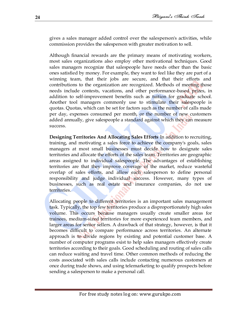gives a sales manager added control over the salesperson's activities, while commission provides the salesperson with greater motivation to sell.

Although financial rewards are the primary means of motivating workers, most sales organizations also employ other motivational techniques. Good sales managers recognize that salespeople have needs other than the basic ones satisfied by money. For example, they want to feel like they are part of a winning team, that their jobs are secure, and that their efforts and contributions to the organization are recognized. Methods of meeting those needs include contests, vacations, and other performance-based prizes, in addition to self-improvement benefits such as tuition for graduate school. Another tool managers commonly use to stimulate their salespeople is quotas. Quotas, which can be set for factors such as the number of calls made per day, expenses consumed per month, or the number of new customers added annually, give salespeople a standard against which they can measure success.

**Designing Territories And Allocating Sales Efforts** In addition to recruiting, training, and motivating a sales force to achieve the company's goals, sales managers at most small businesses must decide how to designate sales territories and allocate the efforts of the sales team. Territories are geographic areas assigned to individual salespeople. The advantages of establishing territories are that they improve coverage of the market, reduce wasteful overlap of sales efforts, and allow each salesperson to define personal responsibility and judge individual success. However, many types of businesses, such as real estate and insurance companies, do not use territories.

Allocating people to different territories is an important sales management task. Typically, the top few territories produce a disproportionately high sales volume. This occurs because managers usually create smaller areas for trainees, medium-sized territories for more experienced team members, and larger areas for senior sellers. A drawback of that strategy, however, is that it becomes difficult to compare performance across territories. An alternate approach is to divide regions by existing and potential customer base. A number of computer programs exist to help sales managers effectively create territories according to their goals. Good scheduling and routing of sales calls can reduce waiting and travel time. Other common methods of reducing the costs associated with sales calls include contacting numerous customers at once during trade shows, and using telemarketing to qualify prospects before sending a salesperson to make a personal call.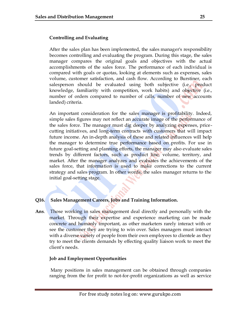#### **Controlling and Evaluating**

After the sales plan has been implemented, the sales manager's responsibility becomes controlling and evaluating the program. During this stage, the sales manager compares the original goals and objectives with the actual accomplishments of the sales force. The performance of each individual is compared with goals or quotas, looking at elements such as expenses, sales volume, customer satisfaction, and cash flow. According to Burstiner, each salesperson should be evaluated using both subjective (i.e., product knowledge, familiarity with competition, work habits) and objective (i.e., number of orders compared to number of calls, number of new accounts landed) criteria.

An important consideration for the sales manager is profitability. Indeed, simple sales figures may not reflect an accurate image of the performance of the sales force. The manager must dig deeper by analyzing expenses, pricecutting initiatives, and long-term contracts with customers that will impact future income. An in-depth analysis of these and related influences will help the manager to determine true performance based on profits. For use in future goal-setting and planning efforts, the manager may also evaluate sales trends by different factors, such as product line, volume, territory, and market. After the manager analyzes and evaluates the achievements of the sales force, that information is used to make corrections to the current strategy and sales program. In other words, the sales manager returns to the initial goal-setting stage.

#### **Q16. Sales Management Careers, Jobs and Training Information.**

**Ans**. Those working in sales management deal directly and personally with the market. Through their expertise and experience marketing can be made concrete and humanly important, as other marketers rarely interact with or see the customer they are trying to win over. Sales managers must interact with a diverse variety of people from their own employees to clientele as they try to meet the clients demands by effecting quality liaison work to meet the client's needs.

#### **Job and Employment Opportunities**

Many positions in sales management can be obtained through companies ranging from the for profit to not-for-profit organizations as well as service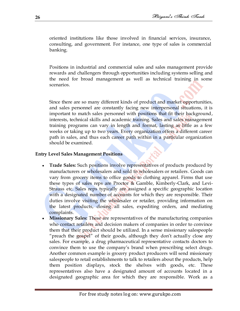oriented institutions like those involved in financial services, insurance, consulting, and government. For instance, one type of sales is commercial banking.

Positions in industrial and commercial sales and sales management provide rewards and challengers through opportunities including systems selling and the need for broad management as well as technical training in some scenarios.

Since there are so many different kinds of product and market opportunities, and sales personnel are constantly facing new interpersonal situations, it is important to match sales personnel with positions that fit their background, interests, technical skills and academic training. Sales and sales management training programs can vary in length and format, lasting as little as a few weeks or taking up to two years. Every organization offers a different career path in sales, and thus each career path within in a particular organization should be examined.

#### **Entry Level Sales Management Positions**

- **Trade Sales:** Such positions involve representatives of products produced by manufacturers or wholesalers and sold to wholesalers or retailers. Goods can vary from grocery items to office goods to clothing apparel. Firms that use these types of sales reps are Proctor & Gamble, Kimberly-Clark, and Levi-Strauss etc. Sales reps typically are assigned a specific geographic location with a designated number of accounts for which they are responsible. Their duties involve visiting the wholesaler or retailer, providing information on the latest products, closing all sales, expediting orders, and mediating complaints.
- **Missionary Sales:** These are representatives of the manufacturing companies  $\bullet$ who contact retailers and decision makers of companies in order to convince them that their product should be utilized. In a sense missionary salespeople "preach the gospel" of their goods, although they don't actually close any sales. For example, a drug pharmaceutical representative contacts doctors to convince them to use the company's brand when prescribing select drugs. Another common example is grocery product producers will send missionary salespeople to retail establishments to talk to retailers about the products, help them position displays, stock the shelves with goods, etc. These representatives also have a designated amount of accounts located in a designated geographic area for which they are responsible. Work as a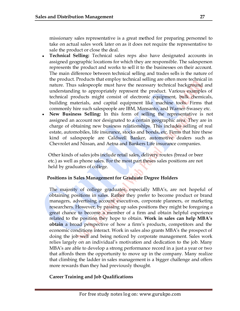missionary sales representative is a great method for preparing personnel to take on actual sales work later on as it does not require the representative to sale the product or close the deal.

- **Technical Selling:** Technical sales reps also have designated accounts in  $\bullet$ assigned geographic locations for which they are responsible. The salesperson represents the product and works to sell it to the businesses on their account. The main difference between technical selling and trades sells is the nature of the product. Products that employ technical selling are often more technical in nature. Thus salespeople must have the necessary technical background and understanding to appropriately represent the product. Various examples of technical products might consist of electronic equipment, bulk chemicals, building materials, and capital equipment like machine tools. Firms that commonly hire such salespeople are IBM, Monsanto, and Warner-Swasey etc.
- **New Business Selling:** In this form of selling the representative is not  $\bullet$ assigned an account nor designated to a certain geographic area. They are in charge of obtaining new business relationships. This includes selling of real estate, automobiles, life insurance, stocks and bonds, etc. Firms that hire these kind of salespeople are Caldwell Banker, automotive dealers such as Chevrolet and Nissan, and Aetna and Bankers Life insurance companies.

 Other kinds of sales jobs include retail sales, delivery routes (bread or beer etc.) as well as phone sales. For the most part theses sales positions are not held by graduates of college.

#### **Positions in Sales Management for Graduate Degree Holders**

The majority of college graduates, especially MBA's, are not hopeful of obtaining positions in sales. Rather they prefer to become product or brand managers, advertising account executives, corporate planners, or marketing researchers. However, by passing up sales positions they might be foregoing a great chance to become a member of a firm and obtain helpful experience related to the position they hope to obtain. **Work in sales can help MBA's obtain** a broad perspective of how a firm's products, competitors and the economic conditions interact. Work in sales also grants MBA's the prospect of doing the job well and being noticed by corporate management. Sales work relies largely on an individual's motivation and dedication to the job. Many MBA's are able to develop a strong performance record in a just a year or two that affords them the opportunity to move up in the company. Many realize that climbing the ladder in sales management is a bigger challenge and offers more rewards than they had previously thought.

#### **Career Training and Job Qualifications**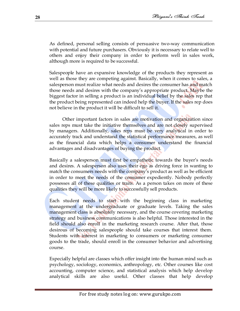As defined, personal selling consists of persuasive two-way communication with potential and future purchasers. Obviously it is necessary to relate well to others and enjoy their company in order to perform well in sales work, although more is required to be successful.

Salespeople have an expansive knowledge of the products they represent as well as those they are competing against. Basically, when it comes to sales, a salesperson must realize what needs and desires the consumer has and match those needs and desires with the company's appropriate product. Maybe the biggest factor in selling a product is an individual belief by the sales rep that the product being represented can indeed help the buyer. If the sales rep does not believe in the product it will be difficult to sell it.

 Other important factors in sales are motivation and organization since sales reps must take the initiative themselves and are not closely supervised by managers. Additionally, sales reps must be very analytical in order to accurately track and understand the statistical performance measures, as well as the financial data which helps a consumer understand the financial advantages and disadvantages of buying the product.

Basically a salesperson must first be empathetic towards the buyer's needs and desires. A salesperson also uses their ego as driving force in wanting to match the consumers needs with the company's product as well as be efficient in order to meet the needs of the consumer expediently. Nobody perfectly possesses all of these qualities or traits. As a person takes on more of these qualities they will be more likely to successfully sell products.

Each student needs to start with the beginning class in marketing management at the undergraduate or graduate levels. Taking the sales management class is absolutely necessary, and the course covering marketing strategy and [business communications](http://www.careeroverview.com/communications-degrees.html) is also helpful. Those interested in the field should also enroll in the marketing research course. After that, those desirous of becoming salespeople should take courses that interest them. Students with interest in marketing to consumers or marketing consumer goods to the trade, should enroll in the consumer behavior and advertising course.

Especially helpful are classes which offer insight into the human mind such as psychology, sociology, economics, anthropology, etc. Other courses like cost accounting, computer science, and statistical analysis which help develop analytical skills are also useful. Other classes that help develop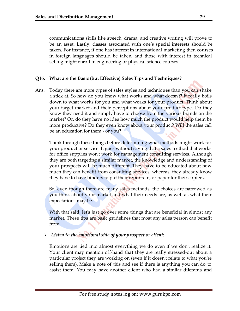communications skills like speech, drama, and creative writing will prove to be an asset. Lastly, classes associated with one's special interests should be taken. For instance, if one has interest in international marketing then courses in foreign languages should be taken, and those with interest in technical selling might enroll in engineering or physical science courses.

#### **Q16. What are the Basic (but Effective) Sales Tips and Techniques?**

Ans. Today there are more types of sales styles and techniques than you can shake a stick at. So how do you know what works and what doesn't? It really boils down to what works for you and what works for your product. Think about your target market and their perceptions about your product type. Do they know they need it and simply have to choose from the various brands on the market? Or, do they have no idea how much the product would help them be more productive? Do they even know about your product? Will the sales call be an education for them - or you?

Think through these things before determining what methods might work for your product or service. It goes without saying that a sales method that works for office supplies won't work for management consulting services. Although they are both targeting a similar market, the knowledge and understanding of your prospects will be much different. They have to be educated about how much they can benefit from consulting services, whereas, they already know they have to have binders to put their reports in, or paper for their copiers.

So, even though there are many sales methods, the choices are narrowed as you think about your market and what their needs are, as well as what their expectations may be.

With that said, let's just go over some things that are beneficial in almost any market. These tips are basic guidelines that most any sales person can benefit from.

#### *Listen to the emotional side of your prospect or client:*

Emotions are tied into almost everything we do even if we don't realize it. Your client may mention off-hand that they are really stressed-out about a particular project they are working on (even if it doesn't relate to what you're selling them). Make a note of this and see if there is anything you can do to assist them. You may have another client who had a similar dilemma and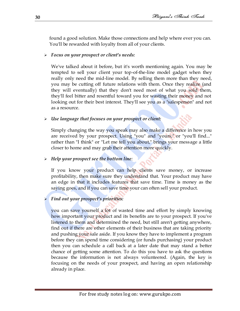found a good solution. Make those connections and help where ever you can. You'll be rewarded with loyalty from all of your clients.

#### *Focus on your prospect or client's needs:*

We've talked about it before, but it's worth mentioning again. You may be tempted to sell your client your top-of-the-line model gadget when they really only need the mid-line model. By selling them more than they need, you may be cutting off future relations with them. Once they realize (and they will eventually) that they don't need most of what you sold them, they'll feel bitter and resentful toward you for wasting their money and not looking out for their best interest. They'll see you as a "salesperson" and not as a resource.

#### *Use language that focuses on your prospect or client:*

Simply changing the way you speak may also make a difference in how you are received by your prospect. Using "you" and "yours," or "you'll find..." rather than "I think" or "Let me tell you about," brings your message a little closer to home and may grab their attention more quickly.

#### *Help your prospect see the bottom line:*

If you know your product can help clients save money, or increase profitability, then make sure they understand that. Your product may have an edge in that it includes features that save time. Time is money as the saying goes, and if you can save time your can often sell your product.

#### *Find out your prospect's priorities:*

you can save yourself a lot of wasted time and effort by simply knowing how important your product and its benefits are to your prospect. If you've listened to them and determined the need, but still aren't getting anywhere, find out if there are other elements of their business that are taking priority and pushing your sale aside. If you know they have to implement a program before they can spend time considering (or funds purchasing) your product then you can schedule a call back at a later date that may stand a better chance of getting some attention. To do this you have to ask the questions because the information is not always volunteered. (Again, the key is focusing on the needs of your prospect, and having an open relationship already in place.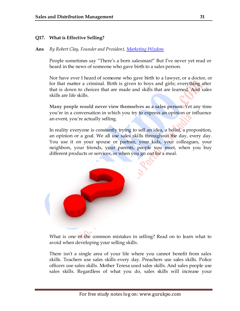#### **Q17. What is Effective Selling?**

#### **Ans** *By Robert Clay, Founder and President, [Marketing Wizdom](http://marketingwizdom.com/)*

People sometimes say "There's a born salesman!" But I've never yet read or heard in the news of someone who gave birth to a sales person.

Nor have ever I heard of someone who gave birth to a lawyer, or a doctor, or for that matter a criminal. Birth is given to boys and girls; everything after that is down to choices that are made and skills that are learned. And sales skills are life skills.

**Many people would never view themselves as a sales person.** Yet any time you're in a conversation in which you try to express an opinion or influence an event, you're actually selling.

In reality everyone is constantly trying to sell an idea, a belief, a proposition, an opinion or a goal. We all use sales skills throughout the day, every day. You use it on your spouse or partner, your kids, your colleagues, your neighbors, your friends, your parents, people you meet, when you buy different products or services, or when you go out for a meal.

What is one of the common mistakes in selling? Read on to learn what to avoid when developing your selling skills.

There isn't a single area of your life where you cannot benefit from sales skills. Teachers use sales skills every day. Preachers use sales skills. Police officers use sales skills. Mother Teresa used sales skills. And sales people use sales skills. Regardless of what you do, sales skills will increase your

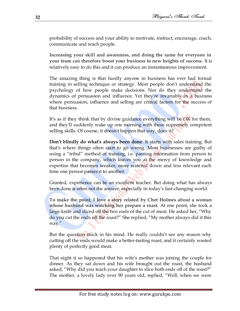probability of success and your ability to motivate, instruct, encourage, coach, communicate and reach people.

**Increasing your skill and awareness, and doing the same for everyone in your team can therefore boost your business to new heights of success.** It is relatively easy to do this and it can produce an instantaneous improvement.

The amazing thing is that hardly anyone in business has ever had formal training in selling technique or strategy. Most people don't understand the psychology of how people make decisions. Nor do they understand the dynamics of persuasion and influence. Yet they're invariably in a business where persuasion, influence and selling are critical factors for the success of that business.

It's as if they think that by divine guidance everything will be OK for them, and they'll suddenly wake up one morning with these supremely competent selling skills. Of course, it doesn't happen that way, does it?

**Don't blindly do what's always been done**. It starts with sales training. But that's where things often start to go wrong. Most businesses are guilty of using a "tribal" method of training, i.e. passing information from person to person in the company, which leaves you at the mercy of knowledge and expertise that becomes weaker, more watered down and less relevant each time one person passes it to another.

Granted, experience can be an excellent teacher. But doing what has always been done is often not the answer, especially in today's fast-changing world.

**To make the point, I love a story related by Chet Holmes about a woman whose husband was watching her prepare a roast.** At one point, she took a large knife and sliced off the two ends of the cut of meat. He asked her, "Why" do you cut the ends off the roast?" She replied, "My mother always did it this way."

But the question stuck in his mind. He really couldn't see any reason why cutting off the ends would make a better-tasting roast, and it certainly wasted plenty of perfectly good meat.

That night it so happened that his wife's mother was joining the couple for dinner. As they sat down and his wife brought out the roast, the husband asked, "Why did you teach your daughter to slice both ends off of the roast?" The mother, a lovely lady over 90 years old, replied, "Well, when we were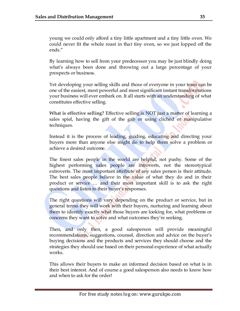young we could only afford a tiny little apartment and a tiny little oven. We could never fit the whole roast in that tiny oven, so we just lopped off the ends."

By learning how to sell from your predecessor you may be just blindly doing what's always been done and throwing out a large percentage of your prospects or business.

Yet developing your selling skills and those of everyone in your team can be one of the easiest, most powerful and most significant instant transformations your business will ever embark on. It all starts with an understanding of what constitutes effective selling.

**What is effective selling?** Effective selling is NOT just a matter of learning a sales spiel, having the gift of the gab or using clichéd or manipulative techniques.

Instead it is the process of leading, guiding, educating and directing your buyers more than anyone else might do to help them solve a problem or achieve a desired outcome.

The finest sales people in the world are helpful, not pushy. Some of the highest performing sales people are introverts, not the stereotypical extroverts. The most important attribute of any sales person is their attitude. The best sales people believe in the value of what they do and in their product or service … and their most important skill is to ask the right questions and listen to their buyer's responses.

The right questions will vary depending on the product or service, but in general terms they will work with their buyers, nurturing and learning about them to identify exactly what those buyers are looking for, what problems or concerns they want to solve and what outcomes they're seeking.

Then, and only then, a good salesperson will provide meaningful recommendations, suggestions, counsel, direction and advice on the buyer's buying decisions and the products and services they should choose and the strategies they should use based on their personal experience of what actually works.

This allows their buyers to make an informed decision based on what is in their best interest. And of course a good salesperson also needs to know how and when to ask for the order!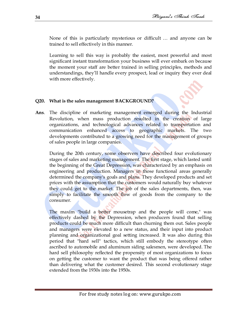None of this is particularly mysterious or difficult … and anyone can be trained to sell effectively in this manner.

Learning to sell this way is probably the easiest, most powerful and most significant instant transformation your business will ever embark on because the moment your staff are better trained in selling principles, methods and understandings, they'll handle every prospect, lead or inquiry they ever deal with more effectively.

#### **Q20. What is the sales management BACKGROUND?**

**Ans**. The discipline of marketing management emerged during the Industrial Revolution, when mass production resulted in the creation of large organizations, and technological advances related to transportation and communication enhanced access to geographic markets. The two developments contributed to a growing need for the management of groups of sales people in large companies.

During the 20th century, some observers have described four evolutionary stages of sales and marketing management. The first stage, which lasted until the beginning of the Great Depression, was characterized by an emphasis on engineering and production. Managers in those functional areas generally determined the company's goals and plans. They developed products and set prices with the assumption that the customers would naturally buy whatever they could get to the market. The job of the sales departments, then, was simply to facilitate the smooth flow of goods from the company to the consumer.

The maxim "build a better mousetrap and the people will come," was effectively dashed by the Depression, when producers found that selling products could be much more difficult than churning them out. Sales people and managers were elevated to a new status, and their input into product planning and organizational goal setting increased. It was also during this period that "hard sell" tactics, which still embody the stereotype often ascribed to automobile and aluminum siding salesmen, were developed. The hard sell philosophy reflected the propensity of most organizations to focus on getting the customer to want the product that was being offered rather than delivering what the customer desired. This second evolutionary stage extended from the 1930s into the 1950s.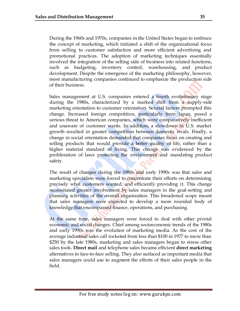During the 1960s and 1970s, companies in the United States began to embrace the concept of marketing, which initiated a shift of the organizational focus from selling to customer satisfaction and more efficient advertising and promotional practices. The adoption of marketing techniques essentially involved the integration of the selling side of business into related functions, such as budgeting, inventory control, warehousing, and product development. Despite the emergence of the marketing philosophy, however, most manufacturing companies continued to emphasize the production side of their business.

Sales management at U.S. companies entered a fourth evolutionary stage during the 1980s, characterized by a marked shift from a supply-side marketing orientation to customer orientation. Several factors prompted this change. Increased foreign competition, particularly from Japan, posed a serious threat to American companies, which were comparatively inefficient and unaware of customer wants. In addition, a slowdown in U.S. market growth resulted in greater competition between domestic rivals. Finally, a change in social orientation demanded that companies focus on creating and selling products that would provide a better quality of life, rather than a higher material standard of living. This change was evidenced by the proliferation of laws protecting the environment and mandating product safety.

The result of changes during the 1980s and early 1990s was that sales and marketing specialists were forced to concentrate their efforts on determining precisely what customers wanted, and efficiently providing it. This change necessitated greater involvement by sales managers in the goal-setting and planning activities of the overall organization. This broadened scope meant that sales managers were expected to develop a more rounded body of knowledge that encompassed finance, operations, and purchasing.

At the same time, sales managers were forced to deal with other pivotal economic and social changes. Chief among socioeconomic trends of the 1980s and early 1990s was the evolution of marketing media. As the cost of the average industrial sales call rocketed from less than \$100 in 1977 to more than \$250 by the late 1980s, marketing and sales managers began to stress other sales tools. **Direct mail** and telephone sales became efficient **[direct marketing](http://www.referenceforbusiness.com/encyclopedia/Dev-Eco/Direct-Marketing.html)**  alternatives to face-to-face selling. They also surfaced as important media that sales managers could use to augment the efforts of their sales people in the field.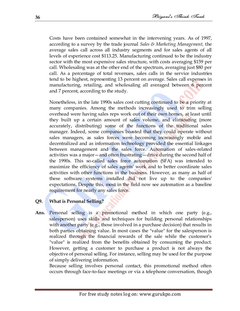Costs have been contained somewhat in the intervening years. As of 1997, according to a survey by the trade journal *Sales & Marketing Management,* the average sales call across all industry segments and for sales agents of all levels of experience cost \$113.25. Manufacturing continued to be the industry sector with the most expensive sales structure, with costs averaging \$159 per call. Wholesaling was at the other end of the spectrum, averaging just \$80 per call. As a percentage of total revenues, sales calls in the service industries tend to be highest, representing 13 percent on average. Sales call expenses in manufacturing, retailing, and wholesaling all averaged between 6 percent and 7 percent, according to the study.

Nonetheless, in the late 1990s sales cost cutting continued to be a priority at many companies. Among the methods increasingly used to trim selling overhead were having sales reps work out of their own homes, at least until they built up a certain amount of sales volume, and eliminating (more accurately, distributing) some of the functions of the traditional sales manager. Indeed, some companies boasted that they could operate without sales managers, as sales forces were becoming increasingly mobile and decentralized and as information technology provided the essential linkages between management and the sales force. Automation of sales-related activities was a major—and often frustrating—drive during the second half of the 1990s. This so-called sales force automation (SFA) was intended to maximize the efficiency of sales agents' work and to better coordinate sales activities with other functions in the business. However, as many as half of these software systems installed did not live up to the companies' expectations. Despite this, most in the field now see automation as a baseline requirement for nearly any sales force.

#### **Q9. What is Personal Selling?**

**Ans.** Personal selling is a promotional method in which one party (e.g., salesperson) uses skills and techniques for building personal relationships with another party (e.g., those involved in a purchase decision) that results in both parties obtaining value. In most cases the "value" for the salesperson is realized through the financial rewards of the sale while the customer's "value" is realized from the benefits obtained by consuming the product. However, getting a customer to purchase a product is not always the objective of personal selling. For instance, selling may be used for the purpose of simply delivering information.

Because selling involves personal contact, this promotional method often occurs through face-to-face meetings or via a telephone conversation, though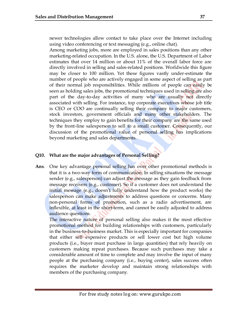newer technologies allow contact to take place over the Internet including using video conferencing or text messaging (e.g., online chat).

Among marketing jobs, more are employed in sales positions than any other marketing-related occupation. In the U.S. alone, the U.S. Department of Labor estimates that over 14 million or about 11% of the overall labor force are directly involved in selling and sales-related positions. Worldwide this figure may be closer to 100 million. Yet these figures vastly under-estimate the number of people who are actively engaged in some aspect of selling as part of their normal job responsibilities. While millions of people can easily be seen as holding sales jobs, the promotional techniques used in selling are also part of the day-to-day activities of many who are usually not directly associated with selling. For instance, top corporate executives whose job title is CEO or COO are continually selling their company to major customers, stock investors, government officials and many other stakeholders. The techniques they employ to gain benefits for their company are the same used by the front-line salesperson to sell to a small customer. Consequently, our discussion of the promotional value of personal selling has implications beyond marketing and sales departments.

#### **Q10. What are the major advantages of Personal Selling?**

**Ans**. One key advantage personal selling has over other promotional methods is that it is a two-way form of communication. In selling situations the message sender (e.g., salesperson) can adjust the message as they gain feedback from message receivers (e.g., customer). So if a customer does not understand the initial message (e.g., doesn't fully understand how the product works) the salesperson can make adjustments to address questions or concerns. Many non-personal forms of promotion, such as a radio advertisement, are inflexible, at least in the short-term, and cannot be easily adjusted to address audience questions.

The interactive nature of personal selling also makes it the most effective promotional method for building relationships with customers, particularly in the business-to-business market. This is especially important for companies that either sell expensive products or sell lower cost but high volume products (i.e., buyer must purchase in large quantities) that rely heavily on customers making repeat purchases. Because such purchases may take a considerable amount of time to complete and may involve the input of many people at the purchasing company (i.e., buying center), sales success often requires the marketer develop and maintain strong relationships with members of the purchasing company.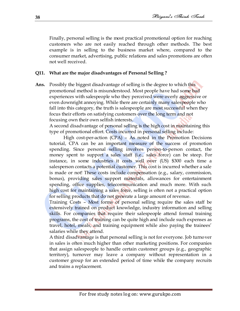Finally, personal selling is the most practical promotional option for reaching customers who are not easily reached through other methods. The best example is in selling to the business market where, compared to the consumer market, advertising, public relations and sales promotions are often not well received.

#### **Q11. What are the major disadvantages of Personal Selling ?**

**Ans.** Possibly the biggest disadvantage of selling is the degree to which this promotional method is misunderstood. Most people have had some bad experiences with salespeople who they perceived were overly aggressive or even downright annoying. While there are certainly many salespeople who fall into this category, the truth is salespeople are most successful when they focus their efforts on satisfying customers over the long term and not focusing own their own selfish interests.

A second disadvantage of personal selling is the high cost in maintaining this type of promotional effort. Costs incurred in personal selling include:

High cost-per-action (CPA) – As noted in the Promotion Decisions tutorial, CPA can be an important measure of the success of promotion spending. Since personal selling involves person-to-person contact, the money spent to support a sales staff (i.e., sales force) can be steep. For instance, in some industries it costs well over (US) \$300 each time a salesperson contacts a potential customer. This cost is incurred whether a sale is made or not! These costs include compensation (e.g., salary, commission, bonus), providing sales support materials, allowances for entertainment spending, office supplies, telecommunication and much more. With such high cost for maintaining a sales force, selling is often not a practical option for selling products that do not generate a large amount of revenue.

Training Costs – Most forms of personal selling require the sales staff be extensively trained on product knowledge, industry information and selling skills. For companies that require their salespeople attend formal training programs, the cost of training can be quite high and include such expenses as travel, hotel, meals, and training equipment while also paying the trainees' salaries while they attend.

A third disadvantage is that personal selling is not for everyone. Job turnover in sales is often much higher than other marketing positions. For companies that assign salespeople to handle certain customer groups (e.g., geographic territory), turnover may leave a company without representation in a customer group for an extended period of time while the company recruits and trains a replacement.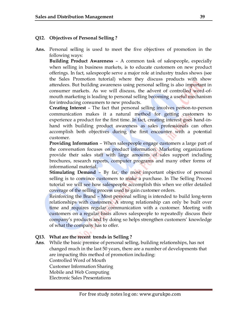#### **Q12. Objectives of Personal Selling ?**

**Ans.** Personal selling is used to meet the five objectives of promotion in the following ways:

**Building Product Awareness** – A common task of salespeople, especially when selling in business markets, is to educate customers on new product offerings. In fact, salespeople serve a major role at industry trades shows (see the Sales Promotion tutorial) where they discuss products with show attendees. But building awareness using personal selling is also important in consumer markets. As we will discuss, the advent of controlled word-ofmouth marketing is leading to personal selling becoming a useful mechanism for introducing consumers to new products.

**Creating Interest** – The fact that personal selling involves person-to-person communication makes it a natural method for getting customers to experience a product for the first time. In fact, creating interest goes hand-inhand with building product awareness as sales professionals can often accomplish both objectives during the first encounter with a potential customer.

**Providing Information** – When salespeople engage customers a large part of the conversation focuses on product information. Marketing organizations provide their sales staff with large amounts of sales support including brochures, research reports, computer programs and many other forms of informational material.

**Stimulating Demand** – By far, the most important objective of personal selling is to convince customers to make a purchase. In The Selling Process tutorial we will see how salespeople accomplish this when we offer detailed coverage of the selling process used to gain customer orders.

Reinforcing the Brand – Most personal selling is intended to build long-term relationships with customers. A strong relationship can only be built over time and requires regular communication with a customer. Meeting with customers on a regular basis allows salespeople to repeatedly discuss their company's products and by doing so helps strengthen customers' knowledge of what the company has to offer.

#### **Q13. What are the recent trends in Selling ?**

**Ans**. While the basic premise of personal selling, building relationships, has not changed much in the last 50 years, there are a number of developments that are impacting this method of promotion including: Controlled Word of Mouth Customer Information Sharing Mobile and Web Computing Electronic Sales Presentations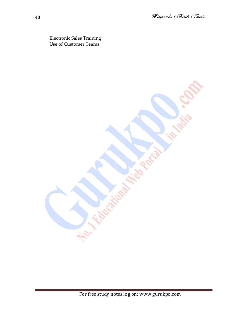Electronic Sales Training Use of Customer Teams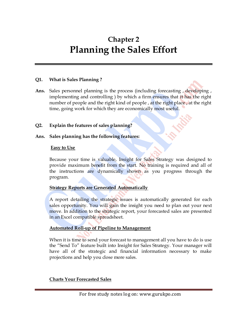## **Chapter 2 Planning the Sales Effort**

#### **Q1. What is Sales Planning ?**

**Ans.** Sales personnel planning is the process (including forecasting , developing , implementing and controlling ) by which a firm ensures that it has the right number of people and the right kind of people , at the right place , at the right time, going work for which they are economically most useful.

#### **Q2. Explain the features of sales planning?**

#### **Ans. Sales planning has the following features:**

#### **[Easy to Use](http://www.sales-strategy-brs.com/sales_strategy_features_1.asp)**

Because your time is valuable, Insight for Sales Strategy was designed to provide maximum benefit from the start. No training is required and all of the instructions are dynamically shown as you progress through the program.

#### **[Strategy Reports are Generated Automatically](http://www.sales-strategy-brs.com/sales_strategy_features_2.asp)**

A report detailing the strategic issues is automatically generated for each sales opportunity. You will gain the insight you need to plan out your next move. In addition to the strategic report, your forecasted sales are presented in an Excel compatible spreadsheet.

#### **[Automated Roll-up of Pipeline to Management](http://www.sales-strategy-brs.com/sales_strategy_features_3.asp)**

When it is time to send your forecast to management all you have to do is use the "Send To" feature built into Insight for Sales Strategy. Your manager will have all of the strategic and financial information necessary to make projections and help you close more sales.

#### **[Charts Your Forecasted Sales](http://www.sales-strategy-brs.com/sales_strategy_features_4.asp)**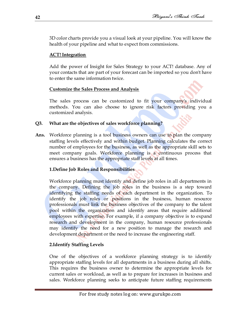3D color charts provide you a visual look at your pipeline. You will know the health of your pipeline and what to expect from commissions.

#### **[ACT! Integration](http://www.sales-strategy-brs.com/sales_strategy_features_5.asp)**

Add the power of Insight for Sales Strategy to your ACT! database. Any of your contacts that are part of your forecast can be imported so you don't have to enter the same information twice.

#### **[Customize the Sales Process and Analysis](http://www.sales-strategy-brs.com/sales_strategy_features_6.asp)**

The sales process can be customized to fit your company's individual methods. You can also choose to ignore risk factors providing you a customized analysis.

#### **Q3. What are the objectives of sales workforce planning?**

**Ans.** Workforce planning is a tool business owners can use to plan the company staffing levels effectively and within budget. Planning calculates the correct number of employees for the business, as well as the appropriate skill sets to meet company goals. Workforce planning is a continuous process that ensures a business has the appropriate staff levels at all times.

#### **1.Define Job Roles and Responsibilities**

Workforce planning must identify and define job roles in all departments in the company. Defining the job roles in the business is a step toward identifying the staffing needs of each department in the organization. To identify the job roles or positions in the business, human resource professionals must link the business objectives of the company to the talent pool within the organization and identify areas that require additional employees with expertise. For example, if a company objective is to expand research and development in the company, human resource professionals may identify the need for a new position to manage the research and development department or the need to increase the engineering staff.

#### **2.Identify Staffing Levels**

One of the objectives of a workforce planning strategy is to identify appropriate staffing levels for all departments in a business during all shifts. This requires the business owner to determine the appropriate levels for current sales or workload, as well as to prepare for increases in business and sales. Workforce planning seeks to anticipate future staffing requirements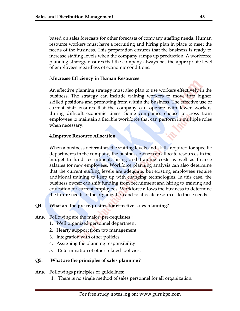based on sales forecasts for other forecasts of company staffing needs. Human resource workers must have a recruiting and hiring plan in place to meet the needs of the business. This preparation ensures that the business is ready to increase staffing levels when the company ramps up production. A workforce planning strategy ensures that the company always has the appropriate level of employees regardless of economic conditions.

#### **3.Increase Efficiency in Human Resources**

An effective planning strategy must also plan to use workers effectively in the business. The strategy can include training workers to move into higher skilled positions and promoting from within the business. The effective use of current staff ensures that the company can operate with fewer workers during difficult economic times. Some companies choose to cross train employees to maintain a flexible workforce that can perform in multiple roles when necessary.

#### **4.Improve Resource Allocation**

When a business determines the staffing levels and skills required for specific departments in the company, the business owner can allocate resources in the budget to fund recruitment, hiring and training costs as well as finance salaries for new employees. Workforce planning analysis can also determine that the current staffing levels are adequate, but existing employees require additional training to keep up with changing technologies. In this case, the business owner can shift funding from recruitment and hiring to training and education for current employees. Workforce allows the business to determine the future needs of the organization and to allocate resources to these needs.

#### **Q4. What are the pre-requisites for effective sales planning?**

- **Ans.** Following are the major pre-requisites :
	- 1. Well organized personnel department
	- 2. Hearty support from top management
	- 3. Integration with other policies
	- 4. Assigning the planning responsibility
	- 5. Determination of other related policies.

#### **Q5. What are the principles of sales planning?**

- **Ans**. Followings principles or guidelines:
	- 1. There is no single method of sales personnel for all organization.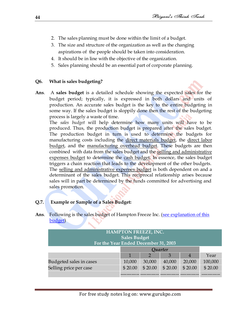- 2. The sales planning must be done within the limit of a budget.
- 3. The size and structure of the organization as well as the changing aspirations of the people should be taken into consideration.
- 4. It should be in line with the objective of the organization.
- 5. Sales planning should be an essential part of corporate planning.

#### **Q6. What is sales budgeting?**

**Ans**. A **sales budget** is a detailed schedule showing the expected sales for the budget period; typically, it is expressed in both dollars and units of production. An accurate sales budget is the key to the entire budgeting in some way. If the sales budget is sloppily done then the rest of the budgeting process is largely a waste of time.

The *sales budget* will help determine how many units will have to be produced. Thus, the production budget is prepared after the sales budget. The production budget in turn is used to determine the budgets for manufacturing costs including the [direct materials budget,](http://www.accountingformanagement.com/direct_materials_budget_definition.htm) the direct labor [budget,](http://www.accountingformanagement.com/direct_labor_budget_definition.htm) and the [manufacturing overhead budget.](http://www.accountingformanagement.com/manufacturing_overhead_budget_definition.htm) These budgets are then combined with data from the sales budget and the [selling and administrative](http://www.accountingformanagement.com/selling_and_admn_expenses_budget.htm)  [expenses](http://www.accountingformanagement.com/selling_and_admn_expenses_budget.htm) [budget](http://www.accountingformanagement.com/selling_and_admn_expenses_budget.htm) to determine the [cash budget.](http://www.accountingformanagement.com/cash_budget_definition.htm) In essence, the sales budget triggers a chain reaction that leads to the development of the other budgets. The [selling and administrative expenses budget](http://www.accountingformanagement.com/selling_and_admn_expenses_budget.htm) is both dependent on and a determinant of the sales budget. This reciprocal relationship arises because sales will in part be determined by the funds committed for advertising and sales promotion.

#### **Q.7. Example or Sample of a Sales Budget:**

**Ans**. Following is the sales budget of Hampton Freeze Inc. [\(see explanation of this](http://www.accountingformanagement.com/sales_budget.htm#Explanation%20of%20sales%20budget%20for%20Hampton%20Freeze%20Inc.)  [budget\)](http://www.accountingformanagement.com/sales_budget.htm#Explanation%20of%20sales%20budget%20for%20Hampton%20Freeze%20Inc.)

| HAMPTON FREEZE, INC.<br><b>Sales Budget</b><br>For the Year Ended December 31, 2003 |         |               |         |         |         |  |
|-------------------------------------------------------------------------------------|---------|---------------|---------|---------|---------|--|
|                                                                                     | Quarter |               |         |         |         |  |
|                                                                                     |         | $\mathcal{D}$ | 3       |         | Year    |  |
| Budgeted sales in cases                                                             | 10,000  | 30,000        | 40,000  | 20,000  | 100,000 |  |
| Selling price per case                                                              | \$20.00 | \$20.00       | \$20.00 | \$20.00 | \$20.00 |  |
|                                                                                     |         |               |         |         |         |  |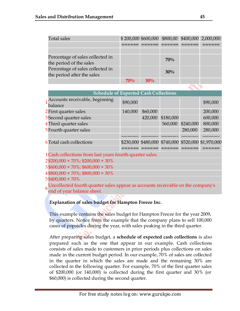| Total sales                                                    |        |        |     | \$200,000 \$600,000 \$800,00 \$400,000 2,000,000 |
|----------------------------------------------------------------|--------|--------|-----|--------------------------------------------------|
|                                                                |        |        |     |                                                  |
|                                                                |        |        |     |                                                  |
| Percentage of sales collected in<br>the period of the sales    |        |        | 70% |                                                  |
| Percentage of sales collected in<br>the period after the sales |        |        | 30% |                                                  |
|                                                                | $70\%$ | $30\%$ |     |                                                  |

| <b>Schedule of Expected Cash Collections</b>             |          |          |           |           |                                                     |
|----------------------------------------------------------|----------|----------|-----------|-----------|-----------------------------------------------------|
| Accounts receivable, beginning<br>balance                | \$90,000 |          |           |           | \$90,000                                            |
| 2 First quarter sales                                    | 140,000  | \$60,000 |           |           | 200,000                                             |
| 3 Second quarter sales                                   |          | 420,000  | \$180,000 |           | 600,000                                             |
| 4 Third quarter sales                                    |          |          | 560,000   | \$240,000 | 800,000                                             |
| 5 Fourth quarter sales                                   |          |          |           | 280,000   | 280,000                                             |
|                                                          |          |          |           |           |                                                     |
| 6 Total cash collections                                 |          |          |           |           | \$230,000 \$480,000 \$740,000 \$520,000 \$1,970,000 |
|                                                          |          |          |           |           |                                                     |
| 1 Cash collections from last years fourth-quarter sales. |          |          |           |           |                                                     |
| $2\,$ \$200.000 × 70%; \$200.000 × 30%                   |          |          |           |           |                                                     |

2\$200,000 × 70%; \$200,000 × 30%

3\$600,000 × 70%; \$600,000 × 30%

 $4\,$ \$800,000 × 70%; \$800,000 × 30%

5\$400,000 × 70%

6 Uncollected fourth quarter sales appear as accounts receivable on the company's end of year balance sheet.

#### **Explanation of sales budget for Hampton Freeze Inc.**

This example contains the sales budget for Hampton Freeze for the year 2009, by quarters. Notice from the example that the company plans to sell 100,000 cases of popsicles during the year, with sales peaking in the third quarter.

After preparing sales budget, a **schedule of expected cash collections** is also prepared such as the one that appear in our example. Cash collections consists of sales made to customers in prior periods plus collections on sales made in the current budget period. In our example, 70% of sales are collected in the quarter in which the sales are made and the remaining 30% are collected in the following quarter. For example, 70% of the first quarter sales of \$200,000 (or 140,000) is collected during the first quarter and 30% (or \$60,000) is collected during the second quarter.

**All Street**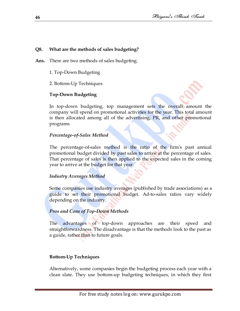#### **Q8. What are the methods of sales budgeting?**

**Ans.** There are two methods of sales budgeting.

1. Top-Down Budgeting

2. Bottom-Up Techniques

#### **Top-Down Budgeting**

In top-down budgeting, top management sets the overall amount the company will spend on promotional activities for the year. This total amount is then allocated among all of the advertising, PR, and other promotional programs

#### *Percentage-of-Sales Method*

The percentage-of-sales method is the ratio of the firm's past annual promotional budget divided by past sales to arrive at the percentage of sales. That percentage of sales is then applied to the expected sales in the coming year to arrive at the budget for that year.

#### *Industry Averages Method*

Some companies use industry averages (published by trade associations) as a guide to set their promotional budget. Ad-to-sales ratios vary widely depending on the industry.

#### *Pros and Cons of Top-Down Methods*

The advantages of top-down approaches are their speed and straightforwardness. The disadvantage is that the methods look to the past as a guide, rather than to future goals.

#### **Bottom-Up Techniques**

Alternatively, some companies begin the budgeting process each year with a clean slate. They use bottom-up budgeting techniques, in which they first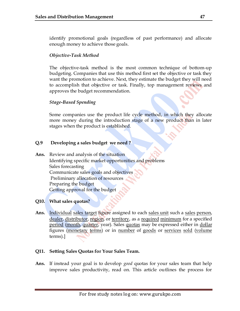identify promotional goals (regardless of past performance) and allocate enough money to achieve those goals.

#### *Objective-Task Method*

The objective-task method is the most common technique of bottom-up budgeting. Companies that use this method first set the objective or task they want the promotion to achieve. Next, they estimate the budget they will need to accomplish that objective or task. Finally, top management reviews and approves the budget recommendation.

#### *Stage-Based Spending*

Some companies use the product life cycle method, in which they allocate more money during the introduction stage of a new product than in later stages when the product is established.

#### **Q.9 Developing a sales budget we need ?**

**Ans.** Review and analysis of the situation Identifying specific market opportunities and problems Sales forecasting Communicate sales goals and objectives Preliminary allocation of resources Preparing the budget Getting approval for the budget

#### **Q10. What sales quotas?**

Ans. [Individual](http://www.businessdictionary.com/definition/individual.html) [sales target](http://www.businessdictionary.com/definition/sales-target.html) figure assigned to each [sales unit](http://www.businessdictionary.com/definition/sales-unit.html) such a [sales](http://www.businessdictionary.com/definition/sales.html) [person,](http://www.businessdictionary.com/definition/person.html) [dealer,](http://www.businessdictionary.com/definition/dealer.html) [distributor,](http://www.businessdictionary.com/definition/distributor.html) [region,](http://www.businessdictionary.com/definition/region.html) or [territory,](http://www.businessdictionary.com/definition/territory.html) as a [required](http://www.businessdictionary.com/definition/required.html) [minimum](http://www.investorwords.com/10321/minimum.html) for a specified [period](http://www.businessdictionary.com/definition/period.html) [\(month,](http://www.businessdictionary.com/definition/month.html) [quarter,](http://www.investorwords.com/5751/quarter.html) year). Sales [quotas](http://www.investorwords.com/4016/quota.html) may be expressed either i[n dollar](http://www.businessdictionary.com/definition/dollar.html) figures [\(monetary](http://www.businessdictionary.com/definition/monetary.html) [terms\)](http://www.businessdictionary.com/definition/term.html) or in [number](http://www.investorwords.com/10438/number.html) of [goods](http://www.businessdictionary.com/definition/goods.html) or [services](http://www.businessdictionary.com/definition/services.html) [sold](http://www.investorwords.com/7717/sold.html) [\(volume](http://www.businessdictionary.com/definition/volume.html) terms).]

#### **Q11. Setting Sales Quotas for Your Sales Team.**

**Ans.** If instead your goal is to develop *good* quotas for your sales team that help improve sales productivity, read on. This article outlines the process for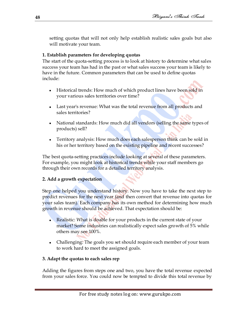setting quotas that will not only help establish realistic sales goals but also will motivate your team.

#### **1. Establish parameters for developing quotas**

The start of the quota-setting process is to look at history to determine what sales success your team has had in the past or what sales success your team is likely to have in the future. Common parameters that can be used to define quotas include:

- Historical trends: How much of which product lines have been sold in your various sales territories over time?
- Last year's revenue: What was the total revenue from all products and  $\bullet$ sales territories?
- National standards: How much did all vendors (selling the same types of products) sell?
- Territory analysis: How much does each salesperson think can be sold in  $\bullet$ his or her territory based on the existing pipeline and recent successes?

The best quota-setting practices include looking at several of these parameters. For example, you might look at historical trends while your staff members go through their own records for a detailed territory analysis.

#### **2. Add a growth expectation**

Step one helped you understand history. Now you have to take the next step to predict revenues for the next year (and then convert that revenue into quotas for your sales team). Each company has its own method for determining how much growth in revenue should be achieved. That expectation should be:

- Realistic: What is doable for your products in the current state of your market? Some industries can realistically expect sales growth of 5% while others may see 100%.
- $\bullet$ Challenging: The goals you set should require each member of your team to work hard to meet the assigned goals.

#### **3. Adapt the quotas to each sales rep**

Adding the figures from steps one and two, you have the total revenue expected from your sales force. You could now be tempted to divide this total revenue by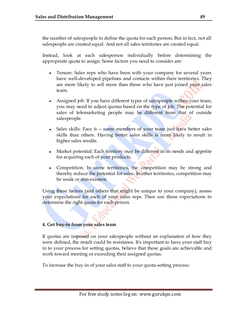the number of salespeople to define the quota for each person. But in fact, not all salespeople are created equal. And not all sales territories are created equal.

Instead, look at each salesperson individually before determining the appropriate quota to assign. Some factors you need to consider are:

- $\bullet$ Tenure: Sales reps who have been with your company for several years have well-developed pipelines and contacts within their territories. They are more likely to sell more than those who have just joined your sales team.
- $\bullet$ Assigned job: If you have different types of salespeople within your team, you may need to adjust quotas based on the type of job. The potential for sales of telemarketing people may be different from that of outside salespeople.
- Sales skills: Face it -- some members of your team just have better sales skills than others. Having better sales skills is more likely to result in higher sales results.
- Market potential: Each territory may be different in its needs and appetite  $\bullet$ for acquiring each of your products.
- $\bullet$ Competition. In some territories, the competition may be strong and thereby reduce the potential for sales. In other territories, competition may be weak or non-existent.

Using these factors (and others that might be unique to your company), assess your expectations for each of your sales reps. Then use those expectations to determine the right quota for each person.

#### **4. Get buy-in from your sales team**

If quotas are imposed on your salespeople without an explanation of how they were defined, the result could be resistance. It's important to have your staff buy in to your process for setting quotas, believe that these goals are achievable and work toward meeting or exceeding their assigned quotas.

To increase the buy-in of your sales staff to your quota-setting process: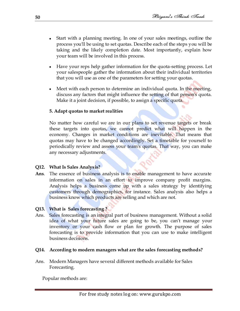- Start with a planning meeting. In one of your sales meetings, outline the process you'll be using to set quotas. Describe each of the steps you will be taking and the likely completion date. Most importantly, explain how your team will be involved in this process.
- Have your reps help gather information for the quota-setting process. Let your salespeople gather the information about their individual territories that you will use as one of the parameters for setting your quotas.
- Meet with each person to determine an individual quota. In the meeting,  $\bullet$ discuss any factors that might influence the setting of that person's quota. Make it a joint decision, if possible, to assign a specific quota.

#### **5. Adapt quotas to market realities**

No matter how careful we are in our plans to set revenue targets or break these targets into quotas, we cannot predict what will happen in the economy. Changes in market conditions are inevitable. That means that quotas may have to be changed accordingly. Set a timetable for yourself to periodically review and assess your team's quotas. That way, you can make any necessary adjustments.

#### **Q12. What Is Sales Analysis?**

**Ans**. The essence of business analysis is to enable management to have accurate information on sales in an effort to improve company profit margins. Analysis helps a business come up with a sales strategy by identifying customers through demographics, for instance. Sales analysis also helps a business know which products are selling and which are not.

#### **Q13. What is Sales forecasting ?**

Ans. Sales forecasting is an integral part of business management. Without a solid idea of what your future sales are going to be, you can't manage your inventory or your cash flow or plan for growth. The purpose of sales forecasting is to provide information that you can use to make intelligent business decisions.

#### **Q14. According to modern managers what are the sales forecasting methods?**

Ans. Modern Managers have several different methods available for Sales Forecasting.

Popular methods are: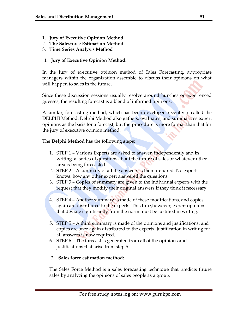- 1. **Jury of Executive Opinion Method**
- 2. **The Salesforce Estimation Method**
- 3. **Time Series Analysis Method**

#### **1. Jury of Executive Opinion Method:**

In the Jury of executive opinion method of Sales Forecasting, appropriate managers within the organization assemble to discuss their opinions on what will happen to sales in the future.

Since these discussion sessions usually resolve around hunches or experienced guesses, the resulting forecast is a blend of informed opinions.

A similar, forecasting method, which has been developed recently is called the DELPHI Method. Delphi Method also gathers, evaluates, and summarizes expert opinions as the basis for a forecast, but the procedure is more formal than that for the jury of executive opinion method.

#### The **Delphi Method** has the following steps:

- 1. STEP 1 Various Experts are asked to answer, independently and in writing, a series of questions about the future of sales or whatever other area is being forecasted.
- 2. STEP 2 A summary of all the answers is then prepared. No expert knows, how any other expert answered the questions.
- 3. STEP 3 Copies of summary are given to the individual experts with the request that they modify their original answers if they think it necessary.
- 4. STEP 4 Another summary is made of these modifications, and copies again are distributed to the experts. This time,however, expert opinions that deviate significantly from the norm must be justified in writing.
- 5. STEP 5 A third summary is made of the opinions and justifications, and copies are once again distributed to the experts. Justification in writing for all answers is now required.
- 6. STEP 6 The forecast is generated from all of the opinions and justifications that arise from step 5.

#### **2. Sales force estimation method**:

The Sales Force Method is a sales forecasting technique that predicts future sales by analyzing the opinions of sales people as a group.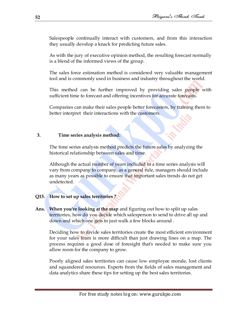Salespeople continually interact with customers, and from this interaction they usually develop a knack for predicting future sales.

As with the jury of executive opinion method, the resulting forecast normally is a blend of the informed views of the group.

The sales force estimation method is considered very valuable management tool and is commonly used in business and industry throughout the world.

This method can be further improved by providing sales people with sufficient time to forecast and offering incentives for accurate forecasts.

Companies can make their sales people better forecasters, by training them to better interpret their interactions with the customers.

#### **3. Time series analysis method:**

The time series analysis method predicts the future sales by analyzing the historical relationship between sales and time.

Although the actual number of years included in a time series analysis will vary from company to company, as a general rule, managers should include as many years as possible to ensure that important sales trends do not get undetected.

#### **Q15. How to set up sales territories ?**

**Ans. When you're looking at the map** and figuring out how to split up sales territories, how do you decide which salesperson to send to drive all up and down and which one gets to just walk a few blocks around .

Deciding how to divide sales territories create the most efficient environment for your sales team is more difficult than just drawing lines on a map. The process requires a good dose of foresight that's needed to make sure you allow room for the company to grow.

Poorly aligned sales territories can cause low employee morale, lost clients and squandered resources. Experts from the fields of sales management and data analytics share these tips for setting up the best sales territories.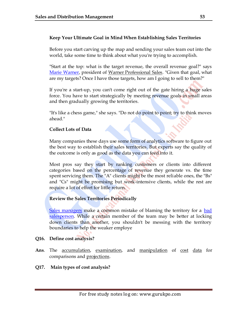#### **Keep Your Ultimate Goal in Mind When Establishing Sales Territories**

Before you start carving up the map and sending your sales team out into the world, take some time to think about what you're trying to accomplish.

"Start at the top: what is the target revenue, the overall revenue goal?" says <u>Marie Warner</u>, president of <u>Warner Professional Sales</u>. "Given that goal, what are my targets? Once I have those targets, how am I going to sell to them?"

If you're a start-up, you can't come right out of the gate hiring a huge sales force. You have to start strategically by meeting revenue goals in small areas and then gradually growing the territories.

"It's like a chess game," she says. "Do not do point to point; try to think moves ahead."

#### **Collect Lots of Data**

Many companies these days use some form of analytics software to figure out the best way to establish their sales territories. But experts say the quality of the outcome is only as good as the data you can feed into it.

Most pros say they start by ranking customers or clients into different categories based on the percentage of revenue they generate vs. the time spent servicing them. The "A" clients might be the most reliable ones, the "Bs" and "Cs" might be promising but work-intensive clients, while the rest are require a lot of effort for little return.

#### **Review the Sales Territories Periodically**

[Sales managers](http://www.inc.com/sales-management) make a common mistake of blaming the territory for a bad [salesperson.](http://www.inc.com/How%20to%20Improve%20Your%20Struggling%20Sales%20Team) While a certain member of the team may be better at locking down clients than another, you shouldn't be messing with the territory boundaries to help the weaker employe

#### **Q16. Define cost analysis?**

**Ans**. The [accumulation,](http://www.businessdictionary.com/definition/accumulation.html) [examination,](http://www.businessdictionary.com/definition/examination.html) and [manipulation](http://www.businessdictionary.com/definition/manipulation.html) of [cost](http://www.businessdictionary.com/definition/cost.html) [data](http://www.businessdictionary.com/definition/data.html) for comparisons and [projections.](http://www.businessdictionary.com/definition/projection.html)

#### **Q17. Main types of cost analysis?**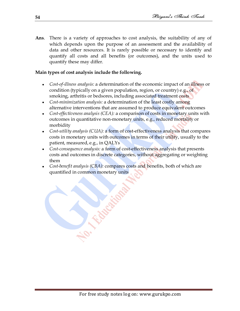**Ans**. There is a variety of approaches to cost analysis, the suitability of any of which depends upon the purpose of an assessment and the availability of data and other resources. It is rarely possible or necessary to identify and quantify all costs and all benefits (or outcomes), and the units used to quantify these may differ.

#### **Main types of cost analysis include the following.**

- *Cost-of-illness analysis:* a determination of the economic impact of an illness or condition (typically on a given population, region, or country) e.g., of smoking, arthritis or bedsores, including associated treatment costs
- *Cost-minimization analysis:* a determination of the least costly among alternative interventions that are assumed to produce equivalent outcomes
- *Cost-effectiveness analysis (CEA):* a comparison of costs in monetary units with outcomes in quantitative non-monetary units, e.g., reduced mortality or morbidity
- *Cost-utility analysis (CUA):* a form of cost-effectiveness analysis that compares  $\bullet$ costs in monetary units with outcomes in terms of their utility, usually to the patient, measured, e.g., in QALYs
- *Cost-consequence analysis:* a form of cost-effectiveness analysis that presents costs and outcomes in discrete categories, without aggregating or weighting them
- *Cost-benefit analysis (CBA):* compares costs and benefits, both of which are quantified in common monetary units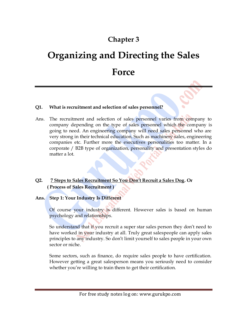### **Chapter 3**

# **Organizing and Directing the Sales Force**

#### **Q1. What is recruitment and selection of sales personnel?**

Ans. The recruitment and selection of sales personnel varies from company to company depending on the type of sales personnel which the company is going to need. An engineering company will need sales personnel who are very strong in their technical education. Such as machinery sales, engineering companies etc. Further more the executives personalities too matter. In a corporate / B2B type of organization, personality and presentation styles do matter a lot.

#### **Q2. [7 Steps to Sales Recruitment So You Don't Recruit a Sales Dog](http://business-powerpack.com/7-steps-to-sales-recruitment-so-you-dont-recruit-a-sales-dog). Or ( Process of Sales Recruitment )**

#### **Ans. Step 1: Your Industry Is Different**

Of course your industry is different. However sales is based on human psychology and relationships.

So understand that if you recruit a super star sales person they don't need to have worked in your industry at all. Truly great salespeople can apply sales principles to any industry. So don't limit yourself to sales people in your own sector or niche.

Some sectors, such as finance, do require sales people to have certification. However getting a great salesperson means you seriously need to consider whether you're willing to train them to get their certification.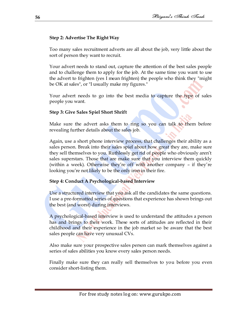#### **Step 2: Advertise The Right Way**

Too many sales recruitment adverts are all about the job, very little about the sort of person they want to recruit.

Your advert needs to stand out, capture the attention of the best sales people and to challenge them to apply for the job. At the same time you want to use the advert to frighten (yes I mean frighten) the people who think they "might be OK at sales", or "I usually make my figures."

Your advert needs to go into the best media to capture the type of sales people you want.

#### **Step 3: Give Sales Spiel Short Shrift**

Make sure the advert asks them to ring so you can talk to them before revealing further details about the sales job.

Again, use a short phone interview process, that challenges their ability as a sales person. Break into their sales spiel about how great they are, make sure they sell themselves to you. Ruthlessly get rid of people who obviously aren't sales superstars. Those that are make sure that you interview them quickly (within a week). Otherwise they're off with another company – if they're looking you're not likely to be the only iron in their fire.

#### **Step 4: Conduct A Psychological-based Interview**

Use a structured interview that you ask all the candidates the same questions. I use a pre-formatted series of questions that experience has shown brings out the best (and worst) during interviews.

A psychological-based interview is used to understand the attitudes a person has and brings to their work. These sorts of attitudes are reflected in their childhood and their experience in the job market so be aware that the best sales people can have very unusual CVs.

Also make sure your prospective sales person can mark themselves against a series of sales abilities you know every sales person needs.

Finally make sure they can really sell themselves to you before you even consider short-listing them.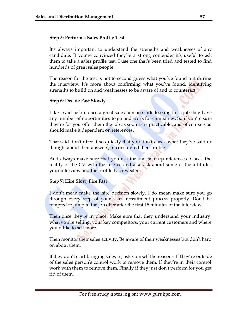#### **Step 5: Perform a Sales Profile Test**

It's always important to understand the strengths and weaknesses of any candidate. If you're convinced they're a strong contender it's useful to ask them to take a sales profile test. I use one that's been tried and tested to find hundreds of great sales people.

The reason for the test is not to second guess what you've found out during the interview. It's more about confirming what you've found. identifying strengths to build on and weaknesses to be aware of and to counteract.

#### **Step 6: Decide Fast Slowly**

Like I said before once a great sales person starts looking for a job they have any number of opportunities to go and work for companies. So if you're sure they're for you offer them the job as soon as is practicable, and of course you should make it dependent on references.

That said don't offer it so quickly that you don't check what they've said or thought about their answers, or considered their profile.

And always make sure that you ask for and take up references. Check the reality of the CV with the referee and also ask about some of the attitudes your interview and the profile has revealed.

#### **Step 7: Hire Slow, Fire Fast**

I don't mean make the hire decision slowly. I do mean make sure you go through every step of your sales recruitment process properly. Don't be tempted to jump to the job offer after the first 15 minutes of the interview!

Then once they're in place. Make sure that they understand your industry, what you're selling, your key competitors, your current customers and where you'd like to sell more.

Then monitor their sales activity. Be aware of their weaknesses but don't harp on about them.

If they don't start bringing sales in, ask yourself the reasons. If they're outside of the sales person's control work to remove them. If they're in their control work with them to remove them. Finally if they just don't perform for you get rid of them.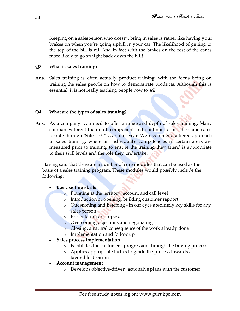Keeping on a salesperson who doesn't bring in sales is rather like having your brakes on when you're going uphill in your car. The likelihood of getting to the top of the hill is nil. And in fact with the brakes on the rest of the car is more likely to go straight back down the hill!

#### **Q3. What is sales training?**

**Ans.** Sales training is often actually product training, with the focus being on training the sales people on how to demonstrate products. Although this is essential, it is not really teaching people how to *sell.*

#### **Q4. What are the types of sales training?**

**Ans**. As a company, you need to offer a range and depth of sales training. Many companies forget the depth component and continue to put the same sales people through "Sales 101" year after year. We recommend a tiered approach to sales training, where an individual's competencies in certain areas are measured prior to training, to ensure the training they attend is appropriate to their skill levels and the role they undertake.

Having said that there are a number of core modules that can be used as the basis of a sales training program. These modules would possibly include the following:

#### **Basic selling skills**

- o Planning at the territory, account and call level
- o Introduction or opening, building customer rapport
- Questioning and listening in our eyes absolutely key skills for any sales person
- o Presentation or proposal
- o Overcoming objections and negotiating
- o Closing, a natural consequence of the work already done
- o Implementation and follow up
- **Sales process implementation**
	- o Facilitates the customer's progression through the buying process
	- o Applies appropriate tactics to guide the process towards a favorable decision.
- **Account management**
	- o Develops objective-driven, actionable plans with the customer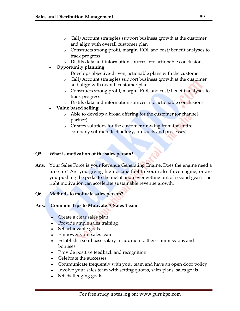- o Call/Account strategies support business growth at the customer and align with overall customer plan
- o Constructs strong profit, margin, ROI, and cost/benefit analyses to track progress
- o Distils data and information sources into actionable conclusions
- **Opportunity planning**
	- Develops objective-driven, actionable plans with the customer
	- o Call/Account strategies support business growth at the customer and align with overall customer plan
	- o Constructs strong profit, margin, ROI, and cost/benefit analyses to track progress
	- o Distils data and information sources into actionable conclusions
- **Value based selling**
	- o Able to develop a broad offering for the customer (or channel partner)
	- o Creates solutions for the customer drawing from the entire company solution (technology, products and processes)

#### **Q5. What is motivation of the sales person?**

- **Ans**. Your Sales Force is your Revenue Generating Engine. Does the engine need a tune-up? Are you giving high octane fuel to your sales force engine, or are you pushing the pedal to the metal and never getting out of second gear? The right motivation can accelerate sustainable revenue growth.
- **Q6. Methods to motivate sales person?**
- **Ans. Common Tips to Motivate A Sales Team**:
	- Create a clear sales plan
	- Provide ample sales training
	- Set achievable goals
	- Empower your sales team
	- Establish a solid base salary in addition to their commissions and bonuses
	- Provide positive feedback and recognition
	- Celebrate the successes
	- Communicate frequently with your team and have an open door policy
	- Involve your sales team with setting quotas, sales plans, sales goals
	- Set challenging goals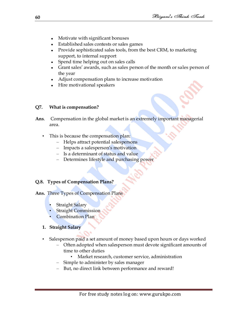- Motivate with significant bonuses
- Established sales contests or sales games
- Provide sophisticated sales tools, from the best CRM, to marketing support, to internal support
- Spend time helping out on sales calls
- Grant sales' awards, such as sales person of the month or sales person of the year
- Adjust compensation plans to increase motivation
- Hire motivational speakers

#### **Q7. What is compensation?**

- **Ans**. Compensation in the global market is an extremely important managerial area.
	- This is because the compensation plan:
		- Helps attract potential salespersons
		- Impacts a salesperson's motivation
		- Is a determinant of status and value
		- Determines lifestyle and purchasing power

#### **Q.8. Types of Compensation Plans?**

**Ans.** Three Types of Compensation Plans

- **Straight Salary**
- **Straight Commission**
- Combination Plan
- **1. Straight Salary**
- Salesperson paid a set amount of money based upon hours or days worked
	- Often adopted when salesperson must devote significant amounts of time to other duties
		- Market research, customer service, administration
	- Simple to administer by sales manager
	- But, no direct link between performance and reward!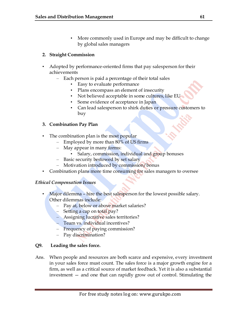• More commonly used in Europe and may be difficult to change by global sales managers

#### **2. Straight Commission**

- Adopted by performance-oriented firms that pay salesperson for their achievements
	- Each person is paid a percentage of their total sales
		- Easy to evaluate performance
		- Plans encompass an element of insecurity
		- Not believed acceptable in some cultures, like EU
		- Some evidence of acceptance in Japan
		- Can lead salesperson to shirk duties or pressure customers to buy

#### **3. Combination Pay Plan**

- The combination plan is the most popular
	- Employed by more than 80% of US firms
	- May appear in many forms:
		- Salary, commission, individual and group bonuses
	- Basic security bestowed by set salary
	- Motivation introduced by commission/bonus
- Combination plans more time consuming for sales managers to oversee

#### *Ethical Compensation Issues*

- Major dilemma hire the best salesperson for the lowest possible salary. Other dilemmas include:
	- Pay at, below or above market salaries?
	- Setting a cap on total pay?
	- Assigning lucrative sales territories?
	- Team vs. individual incentives?
	- Frequency of paying commission?
	- Pay discrimination?

#### **Q9. Leading the sales force.**

Ans. When people and resources are both scarce and expensive, every investment in your sales force must count. The sales force is a major growth engine for a firm, as well as a critical source of market feedback. Yet it is also a substantial investment — and one that can rapidly grow out of control. Stimulating the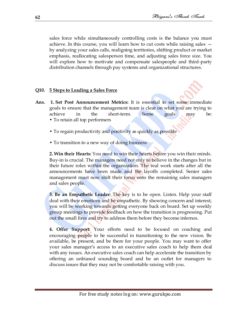sales force while simultaneously controlling costs is the balance you must achieve. In this course, you will learn how to cut costs while raising sales by analyzing your sales calls, realigning territories, shifting product or market emphasis, reallocating salesperson time, and adjusting sales force size. You will explore how to motivate and compensate salespeople and third-party distribution channels through pay systems and organizational structures.

#### **Q10. [5 Steps to Leading a Sales Force](http://www.starresults.com/blog/2010/10/19/5-steps-to-leading-a-sales-force-restructuring/)**

- **Ans. 1. Set Post Announcement Metrics:** It is essential to set some immediate goals to ensure that the management team is clear on what you are trying to achieve in the short-term. Some goals may be: • To retain all top performers
	- To regain productivity and positivity as quickly as possible
	- To transition to a new way of doing business

**2. Win their Hearts:** You need to win their hearts before you win their minds. Buy-in is crucial. The managers need not only to believe in the changes but in their future roles within the organization. The real work starts after all the announcements have been made and the layoffs completed. Senior sales management must now shift their focus onto the remaining sales managers and sales people.

**3. Be an Empathetic Leader:** The key is to be open. Listen. Help your staff deal with their emotions and be empathetic. By showing concern and interest, you will be working towards getting everyone back on board. Set up weekly group meetings to provide feedback on how the transition is progressing. Put out the small fires and try to address them before they become infernos.

**4. Offer Support:** Your efforts need to be focused on coaching and encouraging people to be successful in transitioning to the new vision. Be available, be present, and be there for your people. You may want to offer your sales manager's access to an executive sales coach to help them deal with any issues. An executive sales coach can help accelerate the transition by offering an unbiased sounding board and be an outlet for managers to discuss issues that they may not be comfortable raising with you.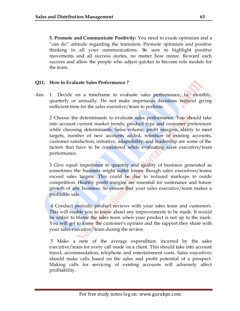**5. Promote and Communicate Positivity:** You need to exude optimism and a "can do" attitude regarding the transition. Promote optimism and positive thinking in all your communications. Be sure to highlight positive movements and all success stories, no matter how minor. Reward each success and allow the people who adjust quicker to become role models for the team.

#### **Q11. How to Evaluate Sales Performance ?**

Ans. 1 Decide on a timeframe to evaluate sales performance, i.e. monthly, quarterly or annually. Do not make impetuous decisions without giving sufficient time for the sales executive/team to perform.

2 Choose the determinants to evaluate sales performance. You should take into account current market trends, product type and customer preferences while choosing determinants. Sales volume, profit margins, ability to meet targets, number of new accounts added, retention of existing accounts, customer satisfaction, initiative, adaptability, and leadership are some of the factors that have to be considered while evaluating sales executive/team performance.

3 Give equal importance to quantity and quality of business generated as sometimes the business might suffer losses though sales executives/teams exceed sales targets. This could be due to reduced markups to outdo competition. Healthy profit margins are essential for sustenance and future growth of any business. So ensure that your sales executive/team makes a profitable sale.

4 Conduct periodic product reviews with your sales team and customers. This will enable you to know about any improvements to be made. It would be unfair to blame the sales team when your product is not up to the mark. You will get to know the customer's opinion and the rapport they share with your sales executive/team during the review.

5 Make a note of the average expenditure incurred by the sales executive/team for every call made on a client. This should take into account travel, accommodation, telephone and entertainment costs. Sales executives should make calls based on the sales and profit potential of a prospect. Making calls for servicing of existing accounts will adversely affect profitability.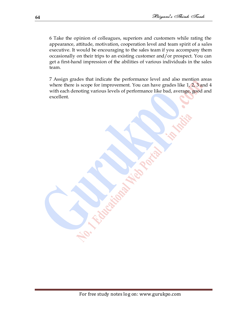6 Take the opinion of colleagues, superiors and customers while rating the appearance, attitude, motivation, cooperation level and team spirit of a sales executive. It would be encouraging to the sales team if you accompany them occasionally on their trips to an existing customer and/or prospect. You can get a first-hand impression of the abilities of various individuals in the sales team.

7 Assign grades that indicate the performance level and also mention areas where there is scope for improvement. You can have grades like 1, 2, 3 and 4 with each denoting various levels of performance like bad, average, good and excellent.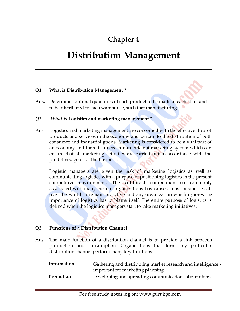### **Chapter 4**

# **Distribution Management**

#### **Q1. What is Distribution Management ?**

**Ans.** Determines optimal quantities of each product to be made at each plant and to be distributed to each warehouse, such that manufacturing.

#### *Q2. What is* **Logistics and marketing management ?**

Ans. Logistics and marketing management are concerned with the effective flow of products and services in the economy and pertain to the distribution of both consumer and industrial goods. Marketing is considered to be a vital part of an economy and there is a need for an efficient marketing system which can ensure that all marketing activities are carried out in accordance with the predefined goals of the business.

Logistic managers are given the task of marketing logistics as well as communicating logistics with a purpose of positioning logistics in the present competitive environment. The cut-throat competition so commonly associated with many current organizations has caused most businesses all over the world to remain proactive and any organization which ignores the importance of logistics has to blame itself. The entire purpose of logistics is defined when the logistics managers start to take marketing initiatives.

#### **Q3. Functions of a Distribution Channel**

Ans. The main function of a distribution channel is to provide a link between production and consumption. Organisations that form any particular distribution channel perform many key functions:

| Information | Gathering and distributing market research and intelligence - |
|-------------|---------------------------------------------------------------|
|             | important for marketing planning                              |
| Promotion   | Developing and spreading communications about offers          |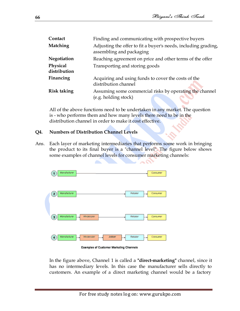| Contact                  | Finding and communicating with prospective buyers                                          |
|--------------------------|--------------------------------------------------------------------------------------------|
| Matching                 | Adjusting the offer to fit a buyer's needs, including grading,<br>assembling and packaging |
| Negotiation              | Reaching agreement on price and other terms of the offer                                   |
| Physical<br>distribution | Transporting and storing goods                                                             |
| Financing                | Acquiring and using funds to cover the costs of the<br>distribution channel                |
| <b>Risk taking</b>       | Assuming some commercial risks by operating the channel<br>(e.g. holding stock)            |

All of the above functions need to be undertaken in any market. The question is - who performs them and how many levels there need to be in the distribution channel in order to make it cost effective.

#### **Q4. Numbers of Distribution Channel Levels**

Ans. Each layer of marketing intermediaries that performs some work in bringing the product to its final buyer is a "channel level". The figure below shows some examples of channel levels for consumer marketing channels:

 $\sim$ 

| Manufacturer<br>1                                                        | Consumer |
|--------------------------------------------------------------------------|----------|
| Mariufacturer<br>Retailer<br>$\mathbf{z}$                                | Consumer |
| Manufacturer<br>Wholesaler<br>Retailer<br>з                              | Consumer |
| Manufacturer<br>Jobber<br>Wholesaler<br>Retailer<br>$\blacktriangleleft$ | Consumer |

 $\qquad \qquad \blacksquare$ 

**Examples of Customer Marketing Channels** 

In the figure above, Channel 1 is called a **"direct-marketing"** channel, since it has no intermediary levels. In this case the manufacturer sells directly to customers. An example of a direct marketing channel would be a factory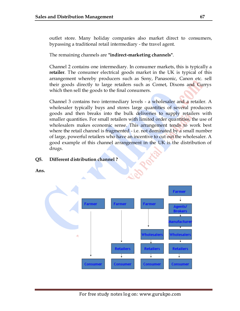outlet store. Many holiday companies also market direct to consumers, bypassing a traditional retail intermediary - the travel agent.

The remaining channels are **"indirect-marketing channels"**.

Channel 2 contains one intermediary. In consumer markets, this is typically a **retailer**. The consumer electrical goods market in the UK is typical of this arrangement whereby producers such as Sony, Panasonic, Canon etc. sell their goods directly to large retailers such as Comet, Dixons and Currys which then sell the goods to the final consumers.

Channel 3 contains two intermediary levels - a wholesaler and a retailer. A wholesaler typically buys and stores large quantities of several producers goods and then breaks into the bulk deliveries to supply retailers with smaller quantities. For small retailers with limited order quantities, the use of wholesalers makes economic sense. This arrangement tends to work best where the retail channel is fragmented - i.e. not dominated by a small number of large, powerful retailers who have an incentive to cut out the wholesaler. A good example of this channel arrangement in the UK is the distribution of drugs.



#### **Q5. Different distribution channel ?**

**Ans.**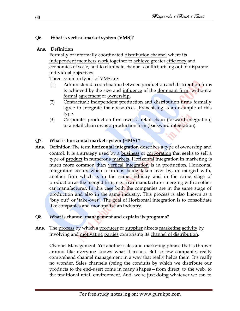#### **Q6. What is vertical market system (VMS)?**

#### **Ans. Definition**

Formally or informally coordinated [distribution channel](http://www.businessdictionary.com/definition/distribution-channel.html) where its [independent](http://www.businessdictionary.com/definition/independent.html) [members](http://www.businessdictionary.com/definition/member.html) [work](http://www.businessdictionary.com/definition/work.html) together to [achieve](http://www.businessdictionary.com/definition/achieve.html) greate[r efficiency](http://www.businessdictionary.com/definition/efficiency.html) and [economies of scale,](http://www.businessdictionary.com/definition/economies-of-scale.html) and to eliminat[e channel-conflict](http://www.businessdictionary.com/definition/channel-conflict.html) arising out of disparate [individual](http://www.businessdictionary.com/definition/individual.html) [objectives.](http://www.businessdictionary.com/definition/objective.html)

Three [common](http://www.businessdictionary.com/definition/common.html) [types](http://www.businessdictionary.com/definition/type.html) of VMS are:

- (1) Administered: [coordination](http://www.businessdictionary.com/definition/coordination.html) betwee[n production](http://www.businessdictionary.com/definition/production.html) an[d distribution](http://www.businessdictionary.com/definition/distribution.html) firms is achieved by the size and [influence](http://www.businessdictionary.com/definition/influence.html) of the [dominant firm,](http://www.businessdictionary.com/definition/dominant-firm.html) without a [formal](http://www.businessdictionary.com/definition/formal.html) [agreement](http://www.businessdictionary.com/definition/agreement.html) or [ownership.](http://www.businessdictionary.com/definition/ownership.html)
- (2) Contractual: independent production and distribution firms formally agree to [integrate](http://www.businessdictionary.com/definition/integrate.html) their [resources.](http://www.businessdictionary.com/definition/resource.html) [Franchising](http://www.businessdictionary.com/definition/franchising.html) is an example of this type.
- (3) Corporate: production firm owns a retail [chain](http://www.businessdictionary.com/definition/chain.html) [\(forward integration\)](http://www.businessdictionary.com/definition/forward-integration.html) or a retail chain owns a production firm [\(backward integration\)](http://www.businessdictionary.com/definition/backward-integration.html).

#### **Q7. What is horizontal market system (HMS) ?**

**Ans.** Definition:The term **horizontal integration** describes a type of ownership and control. It is a strategy used by a **business** or [corporation](http://en.wikipedia.org/wiki/Corporation) that seeks to sell a type of [product](http://en.wikipedia.org/wiki/Product_%28business%29) in numerous [markets.](http://en.wikipedia.org/wiki/Market) Horizontal integration in marketing is much more common than [vertical integration](http://en.wikipedia.org/wiki/Vertical_integration) is in production. Horizontal integration occurs when a firm is being taken over by, or merged with, another firm which is in the same industry and in the same stage of production as the merged firm, e.g. a car manufacturer merging with another car manufacturer. In this case both the companies are in the same stage of production and also in the same industry. This process is also known as a "buy out" or "take-over". The goal of Horizontal integration is to consolidate like companies and monopolize an industry.

#### **Q8. What is channel management and explain its programs?**

Ans. The <u>process</u> by which a <u>producer</u> or <u>supplier</u> directs <u>marketing [activity](http://www.businessdictionary.com/definition/activity.html)</u> by involving and [motivating](http://www.businessdictionary.com/definition/motivating.html) [parties](http://www.businessdictionary.com/definition/party.html) comprising it[s channel of distribution.](http://www.businessdictionary.com/definition/channel-of-distribution.html)

Channel Management. Yet another sales and marketing phrase that is thrown around like everyone knows what it means. But so few companies really comprehend channel management in a way that really helps them. It's really no wonder. Sales channels (being the conduits by which we distribute our products to the end-user) come in many shapes—from direct, to the web, to the traditional retail environment. And, we're just doing whatever we can to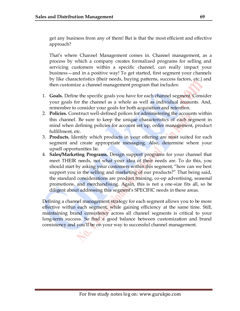get any business from any of them! But is that the most efficient and effective approach?

That's where Channel Management comes in. Channel management, as a process by which a company creates formalized programs for selling and servicing customers within a specific channel, can really impact your business—and in a positive way! To get started, first segment your channels by like characteristics (their needs, buying patterns, success factors, etc.) and then customize a channel management program that includes:

- 1. **Goals.** Define the specific goals you have for each channel segment. Consider your goals for the channel as a whole as well as individual accounts. And, remember to consider your goals for both acquisition and retention.
- 2. **Policies.** Construct well-defined polices for administering the accounts within this channel. Be sure to keep the unique characteristics of each segment in mind when defining policies for account set up, order management, product fulfillment, etc.
- 3. **Products.** Identify which products in your offering are most suited for each segment and create appropriate messaging. Also, determine where your upsell opportunities lie.
- 4. **Sales/Marketing Programs.** Design support programs for your channel that meet THEIR needs, not what your idea of their needs are. To do this, you should start by asking your customers within this segment, "how can we best support you in the selling and marketing of our products?" That being said, the standard considerations are product training, co-op advertising, seasonal promotions, and merchandising. Again, this is not a one-size fits all, so be diligent about addressing this segment's SPECIFIC needs in these areas.

Defining a channel management strategy for each segment allows you to be more effective within each segment, while gaining efficiency at the same time. Still, maintaining brand consistency across all channel segments is critical to your long-term success. So find a good balance between customization and brand consistency and you'll be on your way to successful channel management.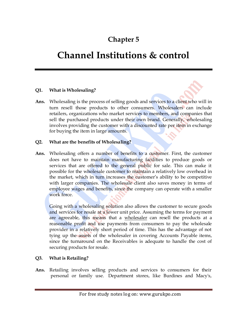### **Chapter 5**

# **Channel Institutions & control**

#### **Q1. What is Wholesaling?**

Ans. Wholesaling is the process of selling goods and services to a client who will in turn resell those products to other consumers. Wholesalers can include retailers, organizations who market services to members, and companies that sell the purchased products under their own brand. Generally, wholesaling involves providing the customer with a discounted rate per item in exchange for buying the item in large amounts.

#### **Q2. What are the benefits of Wholesaling?**

**Ans.** Wholesaling offers a number of benefits to a customer. First, the customer does not have to maintain manufacturing facilities to produce goods or services that are offered to the general public for sale. This can make it possible for the wholesale customer to maintain a relatively low overhead in the market, which in turn increases the customer's ability to be competitive with larger companies. The wholesale dient also saves money in terms of employee wages and benefits, since the company can operate with a smaller work force.

Going with a wholesaling solution also allows the customer to secure goods and services for resale at a lower unit price. Assuming the terms for payment are agreeable, this means that a [wholesaler](http://www.wisegeek.com/what-is-a-wholesaler.htm) can resell the products at a reasonable profit and use payments from consumers to pay the wholesale provider in a relatively short period of time. This has the advantage of not tying up the assets of the wholesaler in covering Accounts Payable items, since the turnaround on the Receivables is adequate to handle the cost of securing products for resale.

#### **Q3. What is Retailing?**

**Ans.** Retailing involves selling products and services to consumers for their personal or family use. Department stores, like Burdines and Macy's,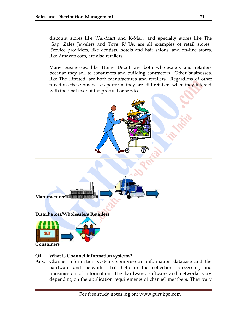discount stores like Wal-Mart and K-Mart, and specialty stores like The Gap, Zales Jewelers and Toys 'R' Us, are all examples of retail stores. Service providers, like dentists, hotels and hair salons, and on-line stores, like Amazon.com, are also retailers.

Many businesses, like Home Depot, are both wholesalers and retailers because they sell to consumers and building contractors. Other businesses, like The Limited, are both manufactures and retailers. Regardless of other functions these businesses perform, they are still retailers when they interact with the final user of the product or service.



#### **Q4. What is Channel information systems?**

**Ans**. Channel information systems comprise an information database and the hardware and networks that help in the collection, processing and transmission of information. The hardware, software and networks vary depending on the application requirements of channel members. They vary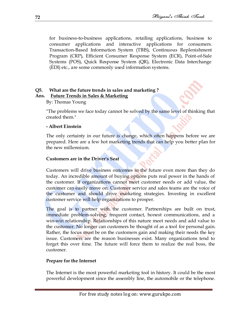for business-to-business applications, retailing applications, business to consumer applications and interactive applications for consumers. Transaction-Based Information System (TBIS), Continuous Replenishment Program (CRP), Efficient Consumer Response System (ECR), Point-of-Sale Systems (POS), Quick Response System (QR), Electronic Data Interchange (EDI) etc., are some commonly used information systems.

#### **Q5. What are the future trends in sales and marketing ? Ans. [Future Trends in Sales & Marketing](http://www.thomasvyoung.com/articles/13-future-trends-in-sales-a-marketing)**

By: Thomas Young

"The problems we face today cannot be solved by the same level of thinking that created them."

#### **- Albert Einstein**

The only certainty in our future is change, which often happens before we are prepared. Here are a few hot marketing trends that can help you better plan for the new millennium.

#### **Customers are in the Driver's Seat**

Customers will drive business outcomes in the future even more than they do today. An incredible amount of buying options puts real power in the hands of the customer. If organizations cannot meet customer needs or add value, the customer can easily move on. Customer service and sales teams are the voice of the customer and should drive marketing strategies. Investing in excellent customer service will help organizations to prosper.

The goal is to partner with the customer. Partnerships are built on trust, immediate problem-solving, frequent contact, honest communications, and a win-win relationship. Relationships of this nature meet needs and add value to the customer. No longer can customers be thought of as a tool for personal gain. Rather, the focus must be on the customers gain and making their needs the key issue. Customers are the reason businesses exist. Many organizations tend to forget this over time. The future will force them to realize the real boss, the customer.

#### **Prepare for the Internet**

The Internet is the most powerful marketing tool in history. It could be the most powerful development since the assembly line, the automobile or the telephone.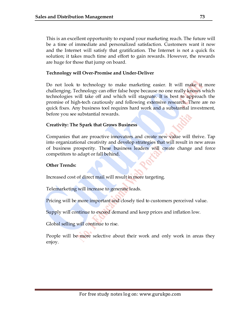This is an excellent opportunity to expand your marketing reach. The future will be a time of immediate and personalized satisfaction. Customers want it now and the Internet will satisfy that gratification. The Internet is not a quick fix solution; it takes much time and effort to gain rewards. However, the rewards are huge for those that jump on board.

## **Technology will Over-Promise and Under-Deliver**

Do not look to technology to make marketing easier. It will make it more challenging. Technology can offer false hope because no one really knows which technologies will take off and which will stagnate. It is best to approach the promise of high-tech cautiously and following extensive research. There are no quick fixes. Any business tool requires hard work and a substantial investment, before you see substantial rewards.

## **Creativity: The Spark that Grows Business**

Companies that are proactive innovators and create new value will thrive. Tap into organizational creativity and develop strategies that will result in new areas of business prosperity. These business leaders will create change and force competitors to adapt or fall behind.

## **Other Trends:**

Increased cost of direct mail will result in more targeting.

Telemarketing will increase to generate leads.

Pricing will be more important and closely tied to customers perceived value.

Supply will continue to exceed demand and keep prices and inflation low.

Global selling will continue to rise.

People will be more selective about their work and only work in areas they enjoy.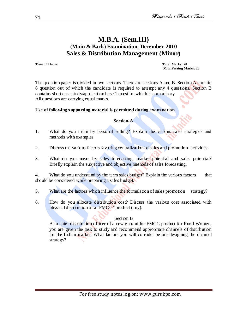# **M.B.A. (Sem.III) (Main & Back) Examination, December-2010 Sales & Distribution Management (Minor)**

**Time: 3 Hours Total Marks: 70 Min. Passing Marks: 28**

The question paper is divided in two sections. There are sections A and B. Section A contain 6 question out of which the candidate is required to attempt any 4 questions. Section B contains short case study/application base 1 question which is compulsory. All questions are carrying equal marks.

#### **Use of following supporting material is permitted during examination.**

#### **Section-A**

- 1. What do you mean by personal selling? Explain the various sales strategies and methods with examples.
- 2. Discuss the various factors favoring centralization of sales and promotion activities.
- 3. What do you mean by sales forecasting, market potential and sales potential? Briefly explain the subjective and objective methods of sales forecasting.

4. What do you understand by the term sales budget? Explain the various factors that should be considered while preparing a sales budget.

- 5. What are the factors which influence the formulation of sales promotion strategy?
- 6. How do you allocate distribution cost? Discuss the various cost associated with physical distribution of a "FMCG" product (any).

#### Section B

As a chief distribution officer of a new entrant for FMCG product for Rural Women, you are given the task to study and recommend appropriate channels of distribution for the Indian market. What factors you will consider before designing the channel strategy?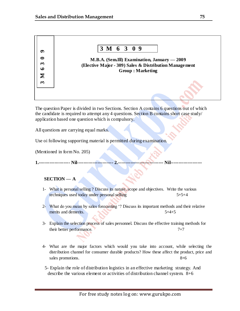

- 2- What do you mean by sales forecasting '? Discuss its important methods and their relative merits and demerits. 5+4+5
- 3- Explain the selection process of sales personnel. Discuss the effective training methods for their better performance. The state of  $7+7$
- 4- What are the major factors which would you take into account, while selecting the distribution channel for consumer durable products? How these affect the product, price and sales promotions. 8+6
- 5- Explain the role of distribution logistics in an effective marketing strategy. And describe the various element or activities of distribution channel system. 8+6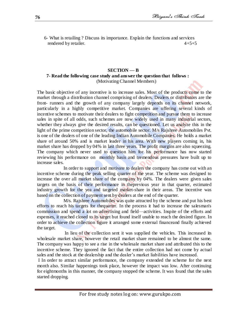6- What is retailing ? Discuss its importance. Explain the functions and services rendered by retailer.  $4+5+5$ 

## **SECTION — B**

### **7- Read the following case study and answer the question that follows :** (Motivating Channel Members)

The basic objective of any incentive is to increase sales. Most of the products come to the market through a distribution channel comprising of dealers. Dealers or distributors are the front- runners and the growth of any company largely depends on its channel network, particularly in a highly competitive market. Companies are offering several kinds of incentive schemes to motivate their dealers to fight competition and pursue them to increase sales in spite of all odds, such schemes are now widely used in many industrial sectors, whether they always give the desired results, can be questioned. Let us analyze this in the light of the prime competition sector, the automobile sector. M/s Rajshree Automobiles Pvt. is one of the dealers of one of the leading Indian Automobile Companies. He holds a market share of around 50% and is market leader in his area. With new players coming in, his market share has dropped by 04% in last three years. The profit margins are also squeezing. The company which never used to question him for his performance has now started reviewing his performance on monthly basis and tremendous pressures have built up to increase sales.

In order to support and motivate to dealers the company has come out with an incentive scheme during the peak selling quarter of the year. The scheme was designed to increase the over all market share of the company by 04%. The dealers were given sales targets on the basis of their performance in theprevious year in that quarter, estimated industry growth for the yea and targeted market-share in their areas. The incentive was based on the collection of payment sent by dealers at the end of the quarter.

M/s. Rajshree Automobiles was quite attracted by the scheme and put his best efforts to reach his targets for thequarter. In the process it had to increase the salesman's commission and spend a lot on advertising and field—activities. Inspite of the efforts and expenses, it reached closed to its target but found itself unable to reach the desired figure. In order to achieve the collection figure it arranged some external financeand finally achieved the target.

In lieu of the collection sent it was supplied the vehicles. This increased its wholesale market share, however the retail market share remained to be almost the same. The company was happy to see a rise in the wholesale market share and attributed this to the incentive scheme. They ignored the fact that the entire collection had not come by actual sales and the stock at the dealership and the dealer's market liabilities have increased.

I In order to attract similar performance, the company extended the scheme for the next month also. Similar happenings took place, however the impact was low. After continuing for eightmonths in this manner, the company stopped the scheme. It was found that the sales started dropping.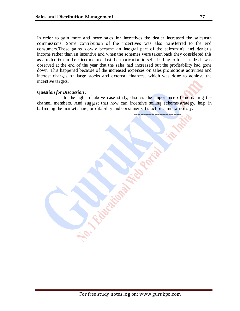In order to gain more and more sales for incentives the dealer increased the salesman commissions. Some contribution of the incentives was also transferred to the end consumers.These gains slowly became an integral part of the salesman's and dealer's income rather than an incentive and when the schemes were taken back they considered this as a reduction in their income and lost the motivation to sell, leading to loss insales.It was observed at the end of the year that the sales had increased but the profitability had gone down. This happened because of the increased expenses on sales promotions activities and interest charges on large stocks and external finances, which was done to achieve the incentive targets.

#### *Question for Discussion :*

In the light of above case study, discuss the importance of motivating the channel members. And suggest that how can incentive selling scheme/strategy, help in balancing the market share, profitability and consumer satisfaction simultaneously.

------------------------------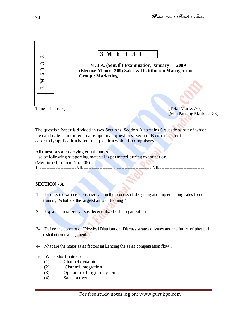[Min.Passing Marks : 28]

| ొ<br>$\boldsymbol{\epsilon}$<br>$\sim$<br>$\bullet$<br>$\sum_{i=1}^{n}$<br>$\mathbf{\infty}$ | 3 M 6 3 3 3<br>M.B.A. (Sem.Ill) Examination, January — 2009<br>(Elective Minor - 309) Sales & Distribution Management<br><b>Group: Marketing</b> |
|----------------------------------------------------------------------------------------------|--------------------------------------------------------------------------------------------------------------------------------------------------|
| Time: 3 Hours]                                                                               | [Total Marks :70]                                                                                                                                |

The question Paper is divided in two Sections. Section A contains 6 questions out of which the candidate is required to attempt any 4 questions. Section B contains short case study/application based one question which is compulsory

All questions are carrying equal marks. Use of following supporting material is permitted during examination. (Mentioned in form No. 205) 1. -----------------------Nil------------------- 2.---------------------- Nil-----------------------------

## **SECTION - A**

- 1- Discuss the various steps involved in the process of designing and implementing sales force training. What are the targets! aims of training ?
- 2- Explain centralized versus decentralized sales organization.
- 3- Define the concept of "Physical Distribution. Discuss strategic issues and the future of physical distribution management.
- 4- What are the major sales factors influencing the sales compensation flow ?
- 5- Write short notes on : .
	- (1) Channel dynamics
	- (2) Channel integration
	- (3) Operation of logistic system
	- (4) Sales budget.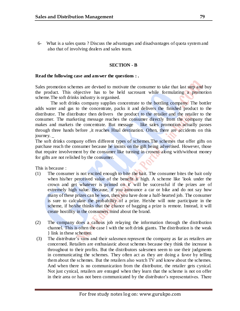6- What is a sales quota ? Discuss the advantages and disadvantages of quota system and also that of involving dealers and sales team.

#### **SECTION - B**

#### **Read the following case and answer the questions : .**

Sales promotion schemes are devised to motivate the consumer to take that last step and buy the product. This objective has to be held sacrosant while formulating a promotion scheme.The soft drinks industry is organised.

The soft drinks company supplies concentrate to the bottling company. The bottler adds water and gas to the concentrate, packs it and delivers the finished product to the distributor. The distributor then delivers the product to the retailer and the retailer to the consumer. The marketing message reaches the consumer directly from the company that makes and markets the concentrate. But message like sales promotion actually passes through three hands before ,it reaches Hnal destination. Often, there are accidents on this journey. \_

The soft drinks company offers different types of schemes.The schemes that offer gifts on purchase reach the consumer because he insists on the gift being advertised. However, those that require involvement by the consumer like turning in crowns along with/without money for gifts are not relished by the consumer.

This is because :

- (1) The consumer is not excited enough to bite the bait. The consumer bites the bait only when his/her perceived value of the benefit is high. A scheme like 'look under the crown and get whatever is printed on it' will be successful if the prizes are of extremely high value. Because, if you announce a car or bike and do not say how many of these prizes can be won, then you have done a half-hearted job. The consumer is sure to calculate the probability of a prize. He/she will note participate in the scheme, if he/she thinks that the chance of bagging a prize is remote. Instead, it will create hostility in the consumers mind about the brand.
- (2) The company does a callous job relaying the information through the distribution channel. This is often the case l with the soft drink giants. The distribution is the weak } link in these schemes.
- (3) The distributor's vans and their salesmen represent the company as far as retailers are concerned. Retailers are enthusiastic about schemes because they think the increase is throughout to their profits. But the distributors salesmen seem to use their judgments in communicating the schemes. They often act as they are doing a favor by telling them about the schemes. But the retailers also watch TV and know about the schemes. And when there is no communication from the distributor, the retailer gets cynical. Not just cynical, retailers are enraged when they learn that the scheme is not on offer in their area or has not been communicated by the distributor's representatives. There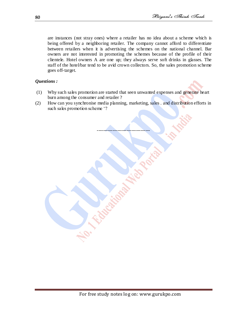are instances (not stray ones) where a retailer has no idea about a scheme which is being offered by a neighboring retailer. The company cannot afford to differentiate between retailers when it is advertising the schemes on the national channel. Bar owners are not interested in promoting the schemes because of the profile of their clientele. Hotel owners A are one up; they always serve soft drinks in glasses. The staff of the hotel/bar tend to be avid crown collectors. So, the sales promotion scheme goes off-target.

## *Questions :*

- (1) Why such sales promotion are started that seen unwanted expenses and generate heart burn among the consumer and retailer ?
- (2) How can you synchronise media planning, marketing, sales . and distribution efforts in such sales promotion scheme '?

----------------------------------